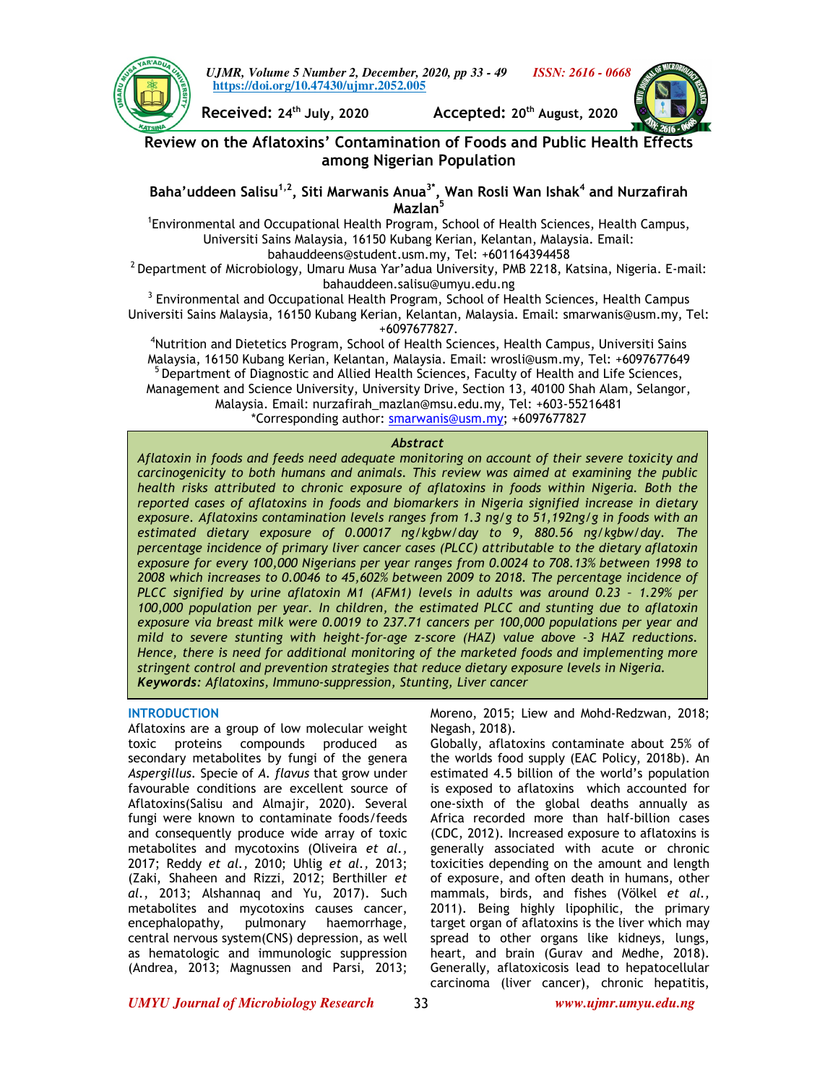

*UJMR, Volume 5 Number 2, December, 2020, pp 33 - 49 ISSN: 2616 - 0668* **https://doi.org/10.47430/ujmr.2052.005**



**Received: 24th July, 2020 Accepted: 20th August, 2020** 

# **Review on the Aflatoxins' Contamination of Foods and Public Health Effects among Nigerian Population**

**Baha'uddeen Salisu1,2, Siti Marwanis Anua3\*, Wan Rosli Wan Ishak<sup>4</sup> and Nurzafirah Mazlan<sup>5</sup>**

1 Environmental and Occupational Health Program, School of Health Sciences, Health Campus, Universiti Sains Malaysia, 16150 Kubang Kerian, Kelantan, Malaysia. Email: bahauddeens@student.usm.my, Tel: +601164394458

 $2$  Department of Microbiology, Umaru Musa Yar'adua University, PMB 2218, Katsina, Nigeria. E-mail: bahauddeen.salisu@umyu.edu.ng

 $3$  Environmental and Occupational Health Program, School of Health Sciences, Health Campus Universiti Sains Malaysia, 16150 Kubang Kerian, Kelantan, Malaysia. Email: smarwanis@usm.my, Tel: +6097677827.

<sup>4</sup>Nutrition and Dietetics Program, School of Health Sciences, Health Campus, Universiti Sains Malaysia, 16150 Kubang Kerian, Kelantan, Malaysia. Email: wrosli@usm.my, Tel: +6097677649 <sup>5</sup> Department of Diagnostic and Allied Health Sciences, Faculty of Health and Life Sciences, Management and Science University, University Drive, Section 13, 40100 Shah Alam, Selangor, Malaysia. Email: nurzafirah\_mazlan@msu.edu.my, Tel: +603-55216481 \*Corresponding author: smarwanis@usm.my; +6097677827

## *Abstract*

*Aflatoxin in foods and feeds need adequate monitoring on account of their severe toxicity and carcinogenicity to both humans and animals. This review was aimed at examining the public health risks attributed to chronic exposure of aflatoxins in foods within Nigeria. Both the reported cases of aflatoxins in foods and biomarkers in Nigeria signified increase in dietary exposure. Aflatoxins contamination levels ranges from 1.3 ng/g to 51,192ng/g in foods with an estimated dietary exposure of 0.00017 ng/kgbw/day to 9, 880.56 ng/kgbw/day. The percentage incidence of primary liver cancer cases (PLCC) attributable to the dietary aflatoxin exposure for every 100,000 Nigerians per year ranges from 0.0024 to 708.13% between 1998 to 2008 which increases to 0.0046 to 45,602% between 2009 to 2018. The percentage incidence of PLCC signified by urine aflatoxin M1 (AFM1) levels in adults was around 0.23 – 1.29% per 100,000 population per year. In children, the estimated PLCC and stunting due to aflatoxin exposure via breast milk were 0.0019 to 237.71 cancers per 100,000 populations per year and mild to severe stunting with height-for-age z-score (HAZ) value above -3 HAZ reductions. Hence, there is need for additional monitoring of the marketed foods and implementing more stringent control and prevention strategies that reduce dietary exposure levels in Nigeria. Keywords: Aflatoxins, Immuno-suppression, Stunting, Liver cancer* 

## **INTRODUCTION**

Aflatoxins are a group of low molecular weight toxic proteins compounds produced as secondary metabolites by fungi of the genera *Aspergillus.* Specie of *A. flavus* that grow under favourable conditions are excellent source of Aflatoxins(Salisu and Almajir, 2020). Several fungi were known to contaminate foods/feeds and consequently produce wide array of toxic metabolites and mycotoxins (Oliveira *et al.,* 2017; Reddy *et al.,* 2010; Uhlig *et al.,* 2013; (Zaki, Shaheen and Rizzi, 2012; Berthiller *et al.*, 2013; Alshannaq and Yu, 2017). Such metabolites and mycotoxins causes cancer, encephalopathy, pulmonary haemorrhage, central nervous system(CNS) depression, as well as hematologic and immunologic suppression (Andrea, 2013; Magnussen and Parsi, 2013;

Moreno, 2015; Liew and Mohd-Redzwan, 2018; Negash, 2018).

Globally, aflatoxins contaminate about 25% of the worlds food supply (EAC Policy, 2018b). An estimated 4.5 billion of the world's population is exposed to aflatoxins which accounted for one-sixth of the global deaths annually as Africa recorded more than half-billion cases (CDC, 2012). Increased exposure to aflatoxins is generally associated with acute or chronic toxicities depending on the amount and length of exposure, and often death in humans, other mammals, birds, and fishes (Völkel *et al.,* 2011). Being highly lipophilic, the primary target organ of aflatoxins is the liver which may spread to other organs like kidneys, lungs, heart, and brain (Gurav and Medhe, 2018). Generally, aflatoxicosis lead to hepatocellular carcinoma (liver cancer), chronic hepatitis,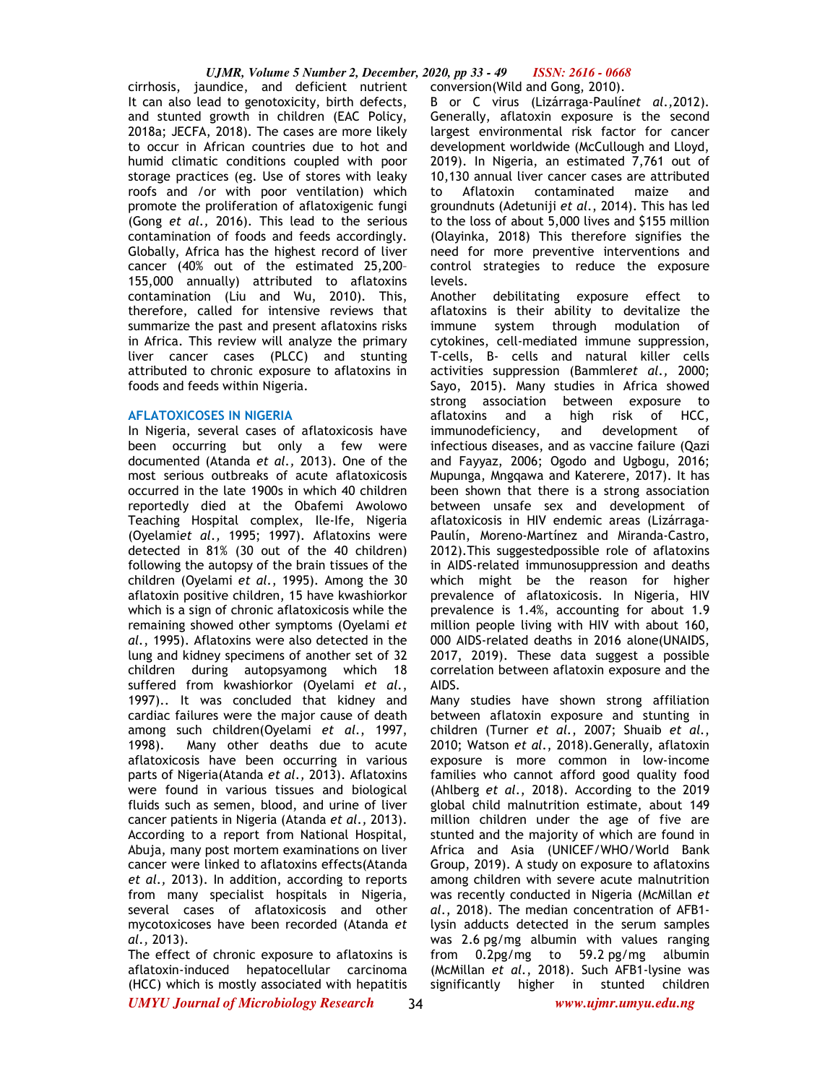cirrhosis, jaundice, and deficient nutrient conversion(Wild and Gong, 2010). It can also lead to genotoxicity, birth defects, and stunted growth in children (EAC Policy, 2018a; JECFA, 2018). The cases are more likely to occur in African countries due to hot and humid climatic conditions coupled with poor storage practices (eg. Use of stores with leaky roofs and /or with poor ventilation) which promote the proliferation of aflatoxigenic fungi (Gong *et al.,* 2016). This lead to the serious contamination of foods and feeds accordingly. Globally, Africa has the highest record of liver cancer (40% out of the estimated 25,200– 155,000 annually) attributed to aflatoxins contamination (Liu and Wu, 2010). This, therefore, called for intensive reviews that summarize the past and present aflatoxins risks in Africa. This review will analyze the primary liver cancer cases (PLCC) and stunting attributed to chronic exposure to aflatoxins in foods and feeds within Nigeria.

## **AFLATOXICOSES IN NIGERIA**

In Nigeria, several cases of aflatoxicosis have been occurring but only a few were documented (Atanda *et al.,* 2013). One of the most serious outbreaks of acute aflatoxicosis occurred in the late 1900s in which 40 children reportedly died at the Obafemi Awolowo Teaching Hospital complex, Ile-Ife, Nigeria (Oyelami*et al.,* 1995; 1997). Aflatoxins were detected in 81% (30 out of the 40 children) following the autopsy of the brain tissues of the children (Oyelami *et al.*, 1995). Among the 30 aflatoxin positive children, 15 have kwashiorkor which is a sign of chronic aflatoxicosis while the remaining showed other symptoms (Oyelami *et al.*, 1995). Aflatoxins were also detected in the lung and kidney specimens of another set of 32 children during autopsyamong which 18 suffered from kwashiorkor (Oyelami *et al.*, 1997).. It was concluded that kidney and cardiac failures were the major cause of death among such children(Oyelami *et al.*, 1997, 1998). Many other deaths due to acute aflatoxicosis have been occurring in various parts of Nigeria(Atanda *et al.,* 2013). Aflatoxins were found in various tissues and biological fluids such as semen, blood, and urine of liver cancer patients in Nigeria (Atanda *et al.,* 2013). According to a report from National Hospital, Abuja, many post mortem examinations on liver cancer were linked to aflatoxins effects(Atanda *et al.,* 2013). In addition, according to reports from many specialist hospitals in Nigeria, several cases of aflatoxicosis and other mycotoxicoses have been recorded (Atanda *et al.,* 2013).

*UMYU Journal of Microbiology Research www.ujmr.umyu.edu.ng* The effect of chronic exposure to aflatoxins is aflatoxin-induced hepatocellular carcinoma (HCC) which is mostly associated with hepatitis

B or C virus (Lizárraga-Paulín*et al.,*2012). Generally, aflatoxin exposure is the second largest environmental risk factor for cancer development worldwide (McCullough and Lloyd, 2019). In Nigeria, an estimated 7,761 out of 10,130 annual liver cancer cases are attributed to Aflatoxin contaminated maize and groundnuts (Adetuniji *et al*., 2014). This has led to the loss of about 5,000 lives and \$155 million (Olayinka, 2018) This therefore signifies the need for more preventive interventions and control strategies to reduce the exposure levels.

Another debilitating exposure effect to aflatoxins is their ability to devitalize the immune system through modulation of cytokines, cell-mediated immune suppression, T-cells, B- cells and natural killer cells activities suppression (Bammler*et al.,* 2000; Sayo, 2015). Many studies in Africa showed strong association between exposure to aflatoxins and a high risk of HCC, immunodeficiency, and development of infectious diseases, and as vaccine failure (Qazi and Fayyaz, 2006; Ogodo and Ugbogu, 2016; Mupunga, Mngqawa and Katerere, 2017). It has been shown that there is a strong association between unsafe sex and development of aflatoxicosis in HIV endemic areas (Lizárraga-Paulín, Moreno-Martínez and Miranda-Castro, 2012).This suggestedpossible role of aflatoxins in AIDS-related immunosuppression and deaths which might be the reason for higher prevalence of aflatoxicosis. In Nigeria, HIV prevalence is 1.4%, accounting for about 1.9 million people living with HIV with about 160, 000 AIDS-related deaths in 2016 alone(UNAIDS, 2017, 2019). These data suggest a possible correlation between aflatoxin exposure and the AIDS.

Many studies have shown strong affiliation between aflatoxin exposure and stunting in children (Turner *et al.*, 2007; Shuaib *et al.*, 2010; Watson *et al.*, 2018).Generally, aflatoxin exposure is more common in low-income families who cannot afford good quality food (Ahlberg *et al.*, 2018). According to the 2019 global child malnutrition estimate, about 149 million children under the age of five are stunted and the majority of which are found in Africa and Asia (UNICEF/WHO/World Bank Group, 2019). A study on exposure to aflatoxins among children with severe acute malnutrition was recently conducted in Nigeria (McMillan *et al.*, 2018). The median concentration of AFB1 lysin adducts detected in the serum samples was 2.6 pg/mg albumin with values ranging from 0.2pg/mg to 59.2 pg/mg albumin (McMillan *et al.*, 2018). Such AFB1-lysine was significantly higher in stunted children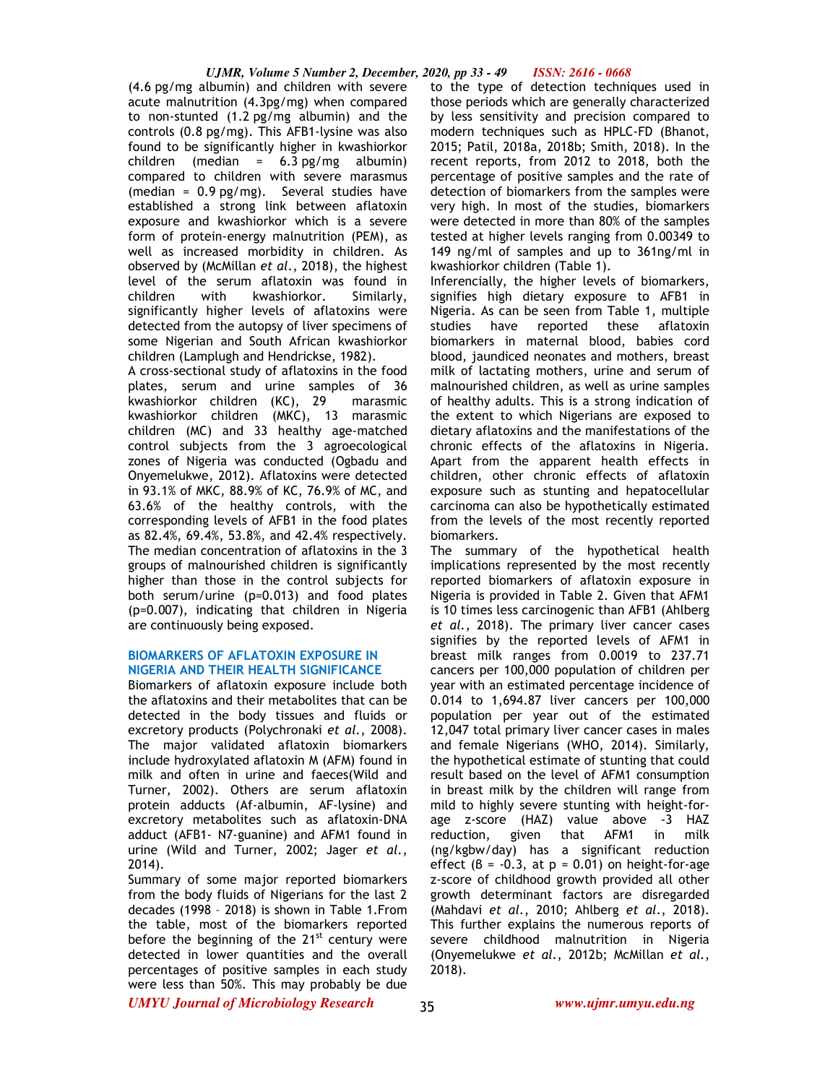(4.6 pg/mg albumin) and children with severe acute malnutrition (4.3pg/mg) when compared to non-stunted (1.2 pg/mg albumin) and the controls (0.8 pg/mg). This AFB1-lysine was also found to be significantly higher in kwashiorkor children (median = 6.3 pg/mg albumin) compared to children with severe marasmus (median = 0.9 pg/mg). Several studies have established a strong link between aflatoxin exposure and kwashiorkor which is a severe form of protein-energy malnutrition (PEM), as well as increased morbidity in children. As observed by (McMillan *et al.*, 2018), the highest level of the serum aflatoxin was found in children with kwashiorkor. Similarly, significantly higher levels of aflatoxins were detected from the autopsy of liver specimens of some Nigerian and South African kwashiorkor children (Lamplugh and Hendrickse, 1982).

A cross-sectional study of aflatoxins in the food plates, serum and urine samples of 36 kwashiorkor children (KC), 29 marasmic kwashiorkor children (MKC), 13 marasmic children (MC) and 33 healthy age-matched control subjects from the 3 agroecological zones of Nigeria was conducted (Ogbadu and Onyemelukwe, 2012). Aflatoxins were detected in 93.1% of MKC, 88.9% of KC, 76.9% of MC, and 63.6% of the healthy controls, with the corresponding levels of AFB1 in the food plates as 82.4%, 69.4%, 53.8%, and 42.4% respectively. The median concentration of aflatoxins in the 3 groups of malnourished children is significantly higher than those in the control subjects for both serum/urine (p=0.013) and food plates (p=0.007), indicating that children in Nigeria are continuously being exposed.

## **BIOMARKERS OF AFLATOXIN EXPOSURE IN NIGERIA AND THEIR HEALTH SIGNIFICANCE**

Biomarkers of aflatoxin exposure include both the aflatoxins and their metabolites that can be detected in the body tissues and fluids or excretory products (Polychronaki *et al.*, 2008). The major validated aflatoxin biomarkers include hydroxylated aflatoxin M (AFM) found in milk and often in urine and faeces(Wild and Turner, 2002). Others are serum aflatoxin protein adducts (Af-albumin, AF-lysine) and excretory metabolites such as aflatoxin-DNA adduct (AFB1- N7-guanine) and AFM1 found in urine (Wild and Turner, 2002; Jager *et al.*, 2014).

Summary of some major reported biomarkers from the body fluids of Nigerians for the last 2 decades (1998 – 2018) is shown in Table 1.From the table, most of the biomarkers reported before the beginning of the  $21<sup>st</sup>$  century were detected in lower quantities and the overall percentages of positive samples in each study were less than 50%. This may probably be due

to the type of detection techniques used in those periods which are generally characterized by less sensitivity and precision compared to modern techniques such as HPLC-FD (Bhanot, 2015; Patil, 2018a, 2018b; Smith, 2018). In the recent reports, from 2012 to 2018, both the percentage of positive samples and the rate of detection of biomarkers from the samples were very high. In most of the studies, biomarkers were detected in more than 80% of the samples tested at higher levels ranging from 0.00349 to 149 ng/ml of samples and up to 361ng/ml in kwashiorkor children (Table 1).

Inferencially, the higher levels of biomarkers, signifies high dietary exposure to AFB1 in Nigeria. As can be seen from Table 1, multiple studies have reported these aflatoxin biomarkers in maternal blood, babies cord blood, jaundiced neonates and mothers, breast milk of lactating mothers, urine and serum of malnourished children, as well as urine samples of healthy adults. This is a strong indication of the extent to which Nigerians are exposed to dietary aflatoxins and the manifestations of the chronic effects of the aflatoxins in Nigeria. Apart from the apparent health effects in children, other chronic effects of aflatoxin exposure such as stunting and hepatocellular carcinoma can also be hypothetically estimated from the levels of the most recently reported biomarkers.

The summary of the hypothetical health implications represented by the most recently reported biomarkers of aflatoxin exposure in Nigeria is provided in Table 2. Given that AFM1 is 10 times less carcinogenic than AFB1 (Ahlberg *et al.*, 2018). The primary liver cancer cases signifies by the reported levels of AFM1 in breast milk ranges from 0.0019 to 237.71 cancers per 100,000 population of children per year with an estimated percentage incidence of 0.014 to 1,694.87 liver cancers per 100,000 population per year out of the estimated 12,047 total primary liver cancer cases in males and female Nigerians (WHO, 2014). Similarly, the hypothetical estimate of stunting that could result based on the level of AFM1 consumption in breast milk by the children will range from mild to highly severe stunting with height-forage z-score (HAZ) value above -3 HAZ reduction, given that AFM1 in milk (ng/kgbw/day) has a significant reduction effect  $(8 = -0.3, at p = 0.01)$  on height-for-age z-score of childhood growth provided all other growth determinant factors are disregarded (Mahdavi *et al.*, 2010; Ahlberg *et al.*, 2018). This further explains the numerous reports of severe childhood malnutrition in Nigeria (Onyemelukwe *et al.*, 2012b; McMillan *et al.*, 2018).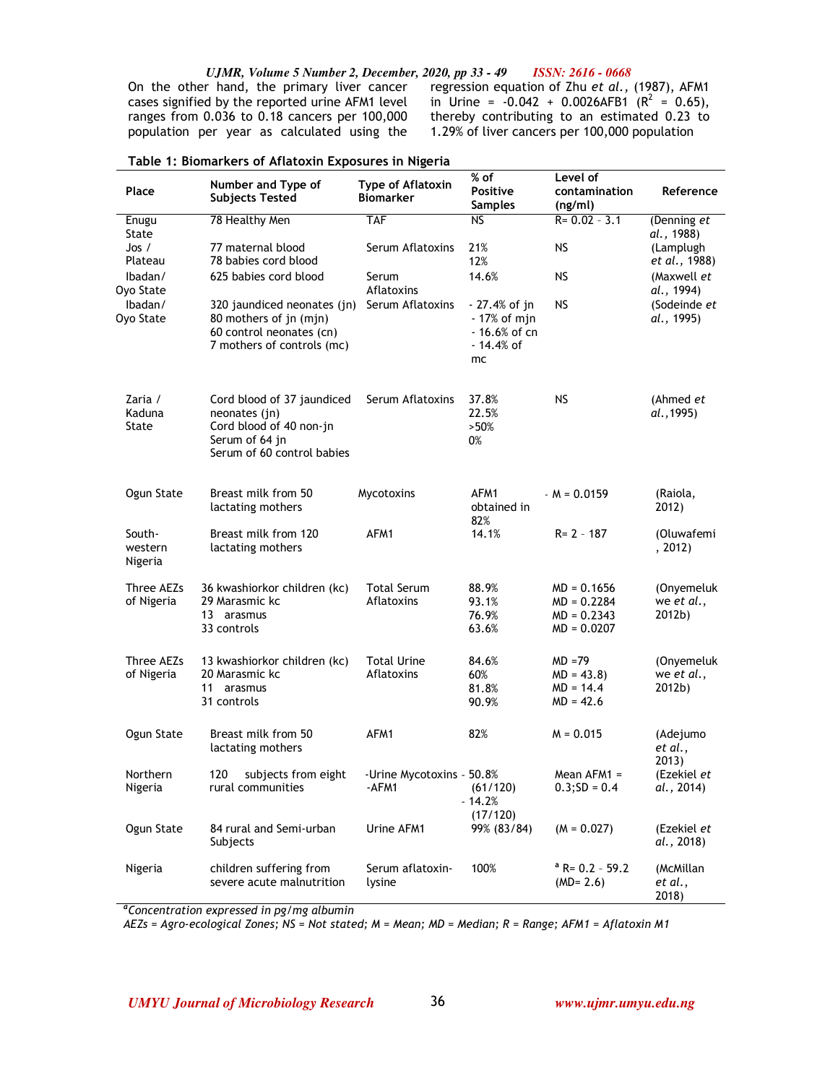On the other hand, the primary liver cancer cases signified by the reported urine AFM1 level ranges from 0.036 to 0.18 cancers per 100,000 population per year as calculated using the

i.

regression equation of Zhu *et al.,* (1987), AFM1 in Urine =  $-0.042 + 0.0026$ AFB1 ( $R^2 = 0.65$ ), thereby contributing to an estimated 0.23 to 1.29% of liver cancers per 100,000 population

| Place                        | Number and Type of<br><b>Subjects Tested</b>                                                                           | Type of Aflatoxin<br><b>Biomarker</b> | % of<br><b>Positive</b><br><b>Samples</b>                           | Level of<br>contamination<br>(ng/ml)                             | Reference                          |
|------------------------------|------------------------------------------------------------------------------------------------------------------------|---------------------------------------|---------------------------------------------------------------------|------------------------------------------------------------------|------------------------------------|
| Enugu<br>State               | 78 Healthy Men                                                                                                         | <b>TAF</b>                            | <b>NS</b>                                                           | $R = 0.02 - 3.1$                                                 | (Denning et<br>al., 1988)          |
| Jos /<br>Plateau             | 77 maternal blood<br>78 babies cord blood                                                                              | Serum Aflatoxins                      | 21%<br>12%                                                          | <b>NS</b>                                                        | (Lamplugh<br>et al., 1988)         |
| lbadan/<br>Oyo State         | 625 babies cord blood                                                                                                  | Serum<br>Aflatoxins                   | 14.6%                                                               | <b>NS</b>                                                        | (Maxwell <i>et</i><br>al., 1994)   |
| Ibadan/<br>Oyo State         | 320 jaundiced neonates (jn)<br>80 mothers of jn (mjn)<br>60 control neonates (cn)<br>7 mothers of controls (mc)        | Serum Aflatoxins                      | - 27.4% of jn<br>- 17% of mjn<br>$-16.6%$ of cn<br>- 14.4% of<br>mc | <b>NS</b>                                                        | (Sodeinde et<br>al., 1995)         |
| Zaria /<br>Kaduna<br>State   | Cord blood of 37 jaundiced<br>neonates (jn)<br>Cord blood of 40 non-jn<br>Serum of 64 jn<br>Serum of 60 control babies | Serum Aflatoxins                      | 37.8%<br>22.5%<br>>50%<br>0%                                        | <b>NS</b>                                                        | (Ahmed et<br>al., 1995)            |
| Ogun State                   | Breast milk from 50<br>lactating mothers                                                                               | Mycotoxins                            | AFM1<br>obtained in<br>82%                                          | $-M = 0.0159$                                                    | (Raiola,<br>2012)                  |
| South-<br>western<br>Nigeria | Breast milk from 120<br>lactating mothers                                                                              | AFM1                                  | 14.1%                                                               | $R = 2 - 187$                                                    | (Oluwafemi<br>, 2012)              |
| Three AEZs<br>of Nigeria     | 36 kwashiorkor children (kc)<br>29 Marasmic kc<br>13 arasmus<br>33 controls                                            | <b>Total Serum</b><br>Aflatoxins      | 88.9%<br>93.1%<br>76.9%<br>63.6%                                    | $MD = 0.1656$<br>$MD = 0.2284$<br>$MD = 0.2343$<br>$MD = 0.0207$ | (Onyemeluk<br>we et al.,<br>2012b) |
| Three AEZs<br>of Nigeria     | 13 kwashiorkor children (kc)<br>20 Marasmic kc<br>11<br>arasmus<br>31 controls                                         | <b>Total Urine</b><br>Aflatoxins      | 84.6%<br>60%<br>81.8%<br>90.9%                                      | $MD = 79$<br>$MD = 43.8$<br>$MD = 14.4$<br>$MD = 42.6$           | (Onyemeluk<br>we et al.,<br>2012b) |
| Ogun State                   | Breast milk from 50<br>lactating mothers                                                                               | AFM1                                  | 82%                                                                 | $M = 0.015$                                                      | (Adejumo<br>et al.,<br>2013)       |
| Northern<br>Nigeria          | 120<br>subjects from eight<br>rural communities                                                                        | -Urine Mycotoxins - 50.8%<br>-AFM1    | (61/120)<br>$-14.2%$<br>(17/120)                                    | Mean AFM1 =<br>$0.3;SD = 0.4$                                    | (Ezekiel et<br>al., 2014)          |
| Ogun State                   | 84 rural and Semi-urban<br>Subjects                                                                                    | Urine AFM1                            | 99% (83/84)                                                         | $(M = 0.027)$                                                    | (Ezekiel et<br>al., 2018)          |
| Nigeria                      | children suffering from<br>severe acute malnutrition                                                                   | Serum aflatoxin-<br>lysine            | 100%                                                                | $^a$ R= 0.2 - 59.2<br>$(MD = 2.6)$                               | (McMillan<br>et al.,<br>2018)      |

|  | Table 1: Biomarkers of Aflatoxin Exposures in Nigeria |  |
|--|-------------------------------------------------------|--|
|  |                                                       |  |

*<sup>a</sup>Concentration expressed in pg/mg albumin*

*AEZs = Agro-ecological Zones; NS = Not stated; M = Mean; MD = Median; R = Range; AFM1 = Aflatoxin M1*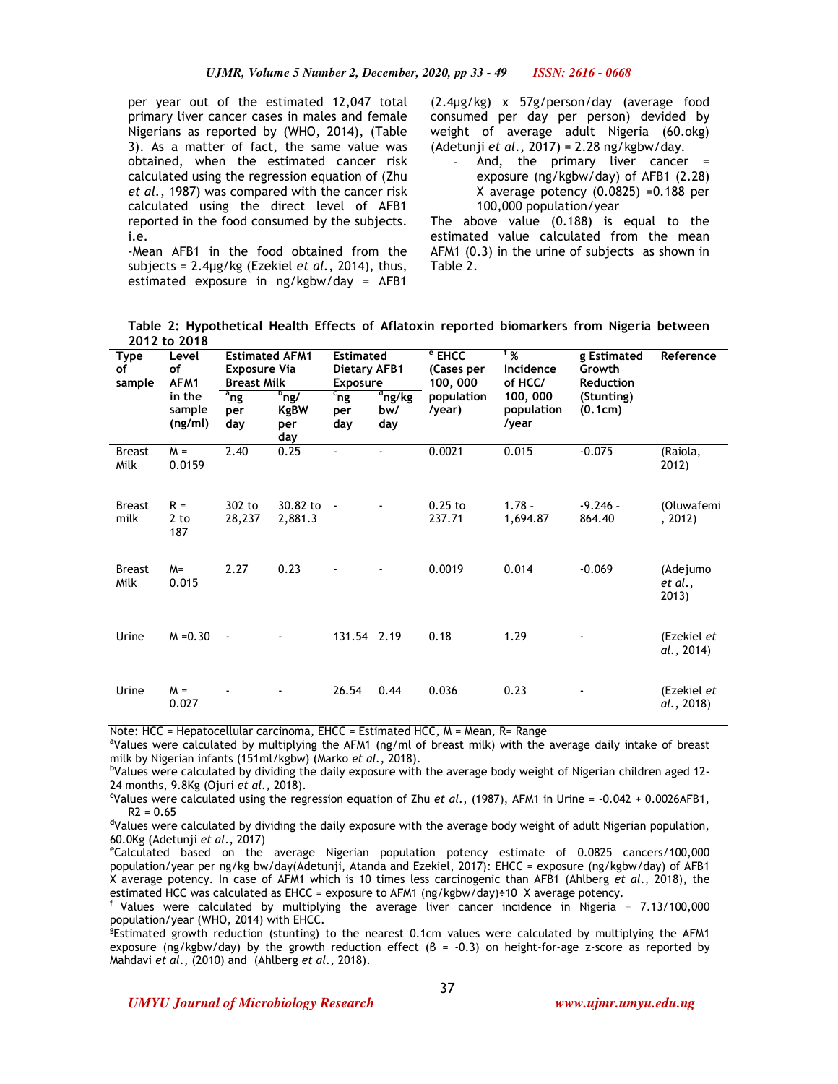per year out of the estimated 12,047 total primary liver cancer cases in males and female Nigerians as reported by (WHO, 2014), (Table 3). As a matter of fact, the same value was obtained, when the estimated cancer risk calculated using the regression equation of (Zhu *et al.*, 1987) was compared with the cancer risk calculated using the direct level of AFB1 reported in the food consumed by the subjects. i.e.

-Mean AFB1 in the food obtained from the subjects = 2.4µg/kg (Ezekiel *et al.*, 2014), thus, estimated exposure in ng/kgbw/day = AFB1

(2.4µg/kg) x 57g/person/day (average food consumed per day per person) devided by weight of average adult Nigeria (60.okg) (Adetunji *et al.,* 2017) = 2.28 ng/kgbw/day.

And, the primary liver cancer  $=$ exposure (ng/kgbw/day) of AFB1 (2.28) X average potency (0.0825) =0.188 per 100,000 population/year

The above value (0.188) is equal to the estimated value calculated from the mean AFM1 (0.3) in the urine of subjects as shown in Table 2.

**Table 2: Hypothetical Health Effects of Aflatoxin reported biomarkers from Nigeria between 2012 to 2018** 

| <b>Type</b><br>of<br>sample | Level<br>of<br>AFM1         | <b>Estimated AFM1</b><br><b>Exposure Via</b><br><b>Breast Milk</b> |                                             | <b>Estimated</b><br>Dietary AFB1<br><b>Exposure</b> |                                    | <sup>e</sup> EHCC<br>(Cases per<br>100, 000 | $1\%$<br>Incidence<br>of HCC/   | g Estimated<br>Growth<br><b>Reduction</b> | Reference                    |
|-----------------------------|-----------------------------|--------------------------------------------------------------------|---------------------------------------------|-----------------------------------------------------|------------------------------------|---------------------------------------------|---------------------------------|-------------------------------------------|------------------------------|
|                             | in the<br>sample<br>(ng/ml) | $a_{\text{ng}}$<br>per<br>day                                      | $^{\rm b}$ ng/<br><b>KgBW</b><br>per<br>day | $c_{ng}$<br>per<br>day                              | $\frac{d}{dp}$ ng/kg<br>bw/<br>day | population<br>/year)                        | 100, 000<br>population<br>/year | (Stunting)<br>(0.1cm)                     |                              |
| <b>Breast</b><br>Milk       | $M =$<br>0.0159             | 2.40                                                               | 0.25                                        |                                                     |                                    | 0.0021                                      | 0.015                           | $-0.075$                                  | (Raiola,<br>2012)            |
| <b>Breast</b><br>milk       | $R =$<br>2 to<br>187        | 302 to<br>28,237                                                   | 30.82 to<br>2,881.3                         | $\overline{\phantom{a}}$                            |                                    | $0.25$ to<br>237.71                         | $1.78 -$<br>1,694.87            | $-9.246 -$<br>864.40                      | (Oluwafemi<br>, 2012)        |
| <b>Breast</b><br>Milk       | $M =$<br>0.015              | 2.27                                                               | 0.23                                        |                                                     |                                    | 0.0019                                      | 0.014                           | $-0.069$                                  | (Adejumo<br>et al.,<br>2013) |
| Urine                       | $M = 0.30$                  | $\overline{\phantom{a}}$                                           |                                             | 131.54 2.19                                         |                                    | 0.18                                        | 1.29                            |                                           | (Ezekiel et<br>al., 2014)    |
| Urine                       | $M =$<br>0.027              |                                                                    |                                             | 26.54                                               | 0.44                               | 0.036                                       | 0.23                            |                                           | (Ezekiel et<br>al., 2018)    |

Note: HCC = Hepatocellular carcinoma, EHCC = Estimated HCC,  $M = Mean$ , R= Range

**<sup>a</sup>**Values were calculated by multiplying the AFM1 (ng/ml of breast milk) with the average daily intake of breast milk by Nigerian infants (151ml/kgbw) (Marko *et al.*, 2018).

**<sup>b</sup>**Values were calculated by dividing the daily exposure with the average body weight of Nigerian children aged 12- 24 months, 9.8Kg (Ojuri *et al.,* 2018).

**<sup>c</sup>**Values were calculated using the regression equation of Zhu *et al*., (1987), AFM1 in Urine = -0.042 + 0.0026AFB1,  $R2 = 0.65$ 

**<sup>d</sup>**Values were calculated by dividing the daily exposure with the average body weight of adult Nigerian population, 60.0Kg (Adetunji *et al*., 2017)

**<sup>e</sup>**Calculated based on the average Nigerian population potency estimate of 0.0825 cancers/100,000 population/year per ng/kg bw/day(Adetunji, Atanda and Ezekiel, 2017): EHCC = exposure (ng/kgbw/day) of AFB1 X average potency. In case of AFM1 which is 10 times less carcinogenic than AFB1 (Ahlberg *et al*., 2018), the estimated HCC was calculated as EHCC = exposure to AFM1 (ng/kgbw/day)÷10 X average potency.

**<sup>f</sup>**Values were calculated by multiplying the average liver cancer incidence in Nigeria = 7.13/100,000 population/year (WHO, 2014) with EHCC.

**g** Estimated growth reduction (stunting) to the nearest 0.1cm values were calculated by multiplying the AFM1 exposure (ng/kgbw/day) by the growth reduction effect ( $\beta$  = -0.3) on height-for-age z-score as reported by Mahdavi *et al*., (2010) and (Ahlberg *et al*., 2018).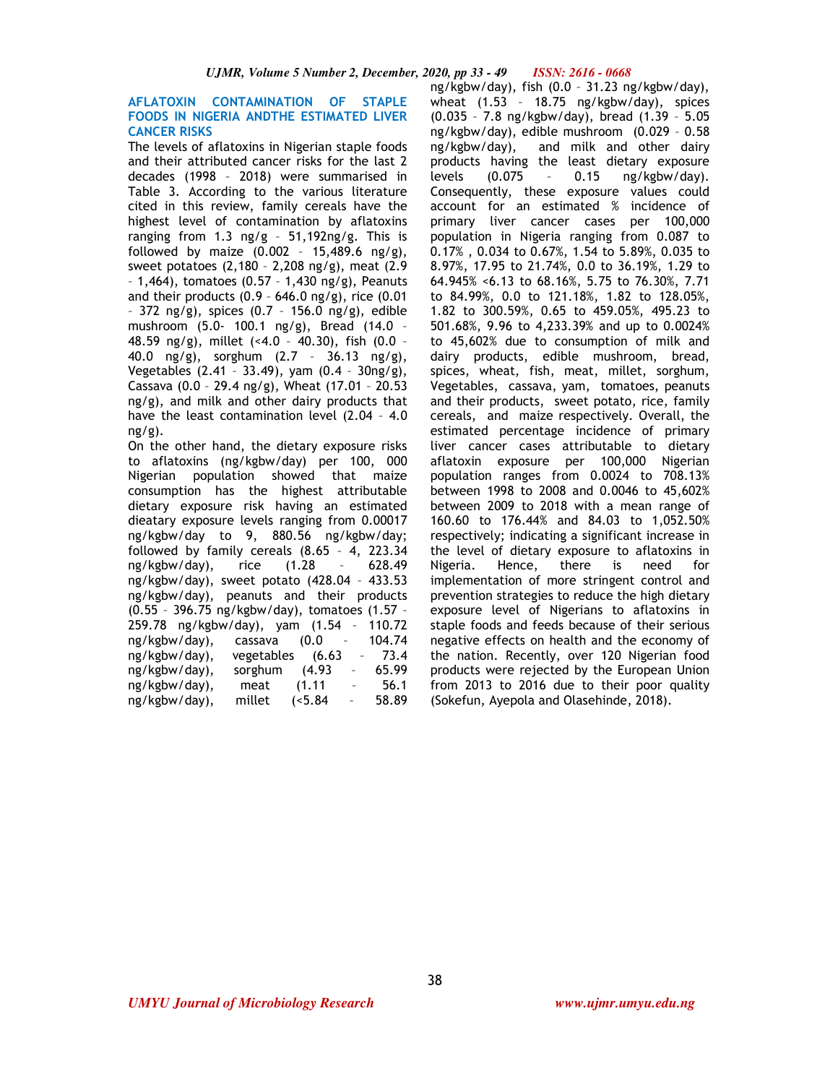## **AFLATOXIN CONTAMINATION OF STAPLE FOODS IN NIGERIA ANDTHE ESTIMATED LIVER CANCER RISKS**

The levels of aflatoxins in Nigerian staple foods and their attributed cancer risks for the last 2 decades (1998 – 2018) were summarised in Table 3. According to the various literature cited in this review, family cereals have the highest level of contamination by aflatoxins ranging from 1.3 ng/g – 51,192ng/g. This is followed by maize  $(0.002 - 15,489.6 \text{ ng/g}),$ sweet potatoes (2,180 – 2,208 ng/g), meat (2.9 – 1,464), tomatoes (0.57 – 1,430 ng/g), Peanuts and their products (0.9 - 646.0 ng/g), rice  $(0.01)$ – 372 ng/g), spices (0.7 – 156.0 ng/g), edible mushroom (5.0- 100.1 ng/g), Bread (14.0 – 48.59 ng/g), millet (<4.0 – 40.30), fish (0.0 – 40.0 ng/g), sorghum (2.7 – 36.13 ng/g), Vegetables (2.41 – 33.49), yam (0.4 – 30ng/g), Cassava (0.0 – 29.4 ng/g), Wheat (17.01 – 20.53 ng/g), and milk and other dairy products that have the least contamination level (2.04 – 4.0  $ng/g$ ).

On the other hand, the dietary exposure risks to aflatoxins (ng/kgbw/day) per 100, 000 Nigerian population showed that maize consumption has the highest attributable dietary exposure risk having an estimated dieatary exposure levels ranging from 0.00017 ng/kgbw/day to 9, 880.56 ng/kgbw/day; followed by family cereals (8.65 – 4, 223.34  $ng/kgbw/day)$ , rice  $(1.28$ ng/kgbw/day), sweet potato (428.04 – 433.53 ng/kgbw/day), peanuts and their products (0.55 – 396.75 ng/kgbw/day), tomatoes (1.57 – 259.78 ng/kgbw/day), yam (1.54 – 110.72 ng/kgbw/day), cassava (0.0 – 104.74 ng/kgbw/day), vegetables (6.63 – 73.4 ng/kgbw/day), sorghum (4.93 ng/kgbw/day), meat (1.11 – 56.1 ng/kgbw/day), millet (<5.84 – 58.89

ng/kgbw/day), fish (0.0 – 31.23 ng/kgbw/day), wheat (1.53 – 18.75 ng/kgbw/day), spices (0.035 – 7.8 ng/kgbw/day), bread (1.39 – 5.05 ng/kgbw/day), edible mushroom (0.029 – 0.58 ng/kgbw/day), and milk and other dairy products having the least dietary exposure levels (0.075 – 0.15 ng/kgbw/day). Consequently, these exposure values could account for an estimated % incidence of primary liver cancer cases per 100,000 population in Nigeria ranging from 0.087 to 0.17% , 0.034 to 0.67%, 1.54 to 5.89%, 0.035 to 8.97%, 17.95 to 21.74%, 0.0 to 36.19%, 1.29 to 64.945% <6.13 to 68.16%, 5.75 to 76.30%, 7.71 to 84.99%, 0.0 to 121.18%, 1.82 to 128.05%, 1.82 to 300.59%, 0.65 to 459.05%, 495.23 to 501.68%, 9.96 to 4,233.39% and up to 0.0024% to 45,602% due to consumption of milk and dairy products, edible mushroom, bread, spices, wheat, fish, meat, millet, sorghum, Vegetables, cassava, yam, tomatoes, peanuts

and their products, sweet potato, rice, family cereals, and maize respectively. Overall, the estimated percentage incidence of primary liver cancer cases attributable to dietary aflatoxin exposure per 100,000 Nigerian population ranges from 0.0024 to 708.13% between 1998 to 2008 and 0.0046 to 45,602% between 2009 to 2018 with a mean range of 160.60 to 176.44% and 84.03 to 1,052.50% respectively; indicating a significant increase in the level of dietary exposure to aflatoxins in Nigeria. Hence, there is need for implementation of more stringent control and prevention strategies to reduce the high dietary exposure level of Nigerians to aflatoxins in staple foods and feeds because of their serious negative effects on health and the economy of the nation. Recently, over 120 Nigerian food products were rejected by the European Union from 2013 to 2016 due to their poor quality (Sokefun, Ayepola and Olasehinde, 2018).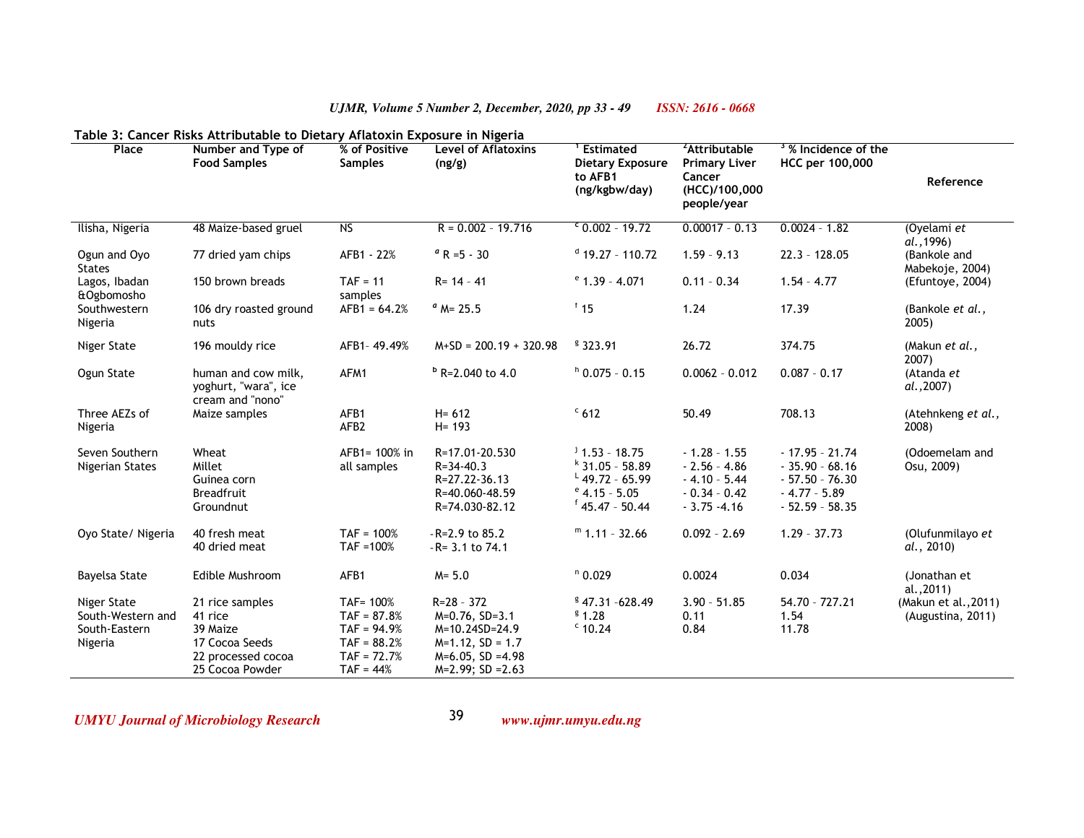| Table 3: Cancer Risks Attributable to Dietary Aflatoxin Exposure in Nigeria |                                                                                                   |                                                                                              |                                                                                                                             |                                                                                                              |                                                                                             |                                                                                                |                                           |  |
|-----------------------------------------------------------------------------|---------------------------------------------------------------------------------------------------|----------------------------------------------------------------------------------------------|-----------------------------------------------------------------------------------------------------------------------------|--------------------------------------------------------------------------------------------------------------|---------------------------------------------------------------------------------------------|------------------------------------------------------------------------------------------------|-------------------------------------------|--|
| Place                                                                       | Number and Type of<br><b>Food Samples</b>                                                         | % of Positive<br><b>Samples</b>                                                              | <b>Level of Aflatoxins</b><br>(ng/g)                                                                                        | Estimated<br><b>Dietary Exposure</b><br>to AFB1<br>(ng/kgbw/day)                                             | <sup>2</sup> Attributable<br><b>Primary Liver</b><br>Cancer<br>(HCC)/100,000<br>people/year | <sup>3</sup> % Incidence of the<br>HCC per 100,000                                             | Reference                                 |  |
| Ilisha, Nigeria                                                             | 48 Maize-based gruel                                                                              | N <sub>S</sub>                                                                               | $R = 0.002 - 19.716$                                                                                                        | $60.002 - 19.72$                                                                                             | $0.00017 - 0.13$                                                                            | $0.0024 - 1.82$                                                                                | (Oyelami et<br>al., 1996)                 |  |
| Ogun and Oyo<br><b>States</b>                                               | 77 dried yam chips                                                                                | AFB1 - 22%                                                                                   | $^a$ R =5 - 30                                                                                                              | $d$ 19.27 - 110.72                                                                                           | $1.59 - 9.13$                                                                               | $22.3 - 128.05$                                                                                | (Bankole and<br>Mabekoje, 2004)           |  |
| Lagos, Ibadan<br>&Ogbomosho                                                 | 150 brown breads                                                                                  | $TAF = 11$<br>samples                                                                        | $R = 14 - 41$                                                                                                               | $e$ 1.39 - 4.071                                                                                             | $0.11 - 0.34$                                                                               | $1.54 - 4.77$                                                                                  | (Efuntoye, 2004)                          |  |
| Southwestern<br>Nigeria                                                     | 106 dry roasted ground<br>nuts                                                                    | $AFB1 = 64.2%$                                                                               | $^a$ M= 25.5                                                                                                                | $f$ 15                                                                                                       | 1.24                                                                                        | 17.39                                                                                          | (Bankole et al.,<br>2005)                 |  |
| Niger State                                                                 | 196 mouldy rice                                                                                   | AFB1-49.49%                                                                                  | $M+SD = 200.19 + 320.98$                                                                                                    | \$323.91                                                                                                     | 26.72                                                                                       | 374.75                                                                                         | (Makun et al.,<br>2007)                   |  |
| Ogun State                                                                  | human and cow milk,<br>yoghurt, "wara", ice<br>cream and "nono"                                   | AFM1                                                                                         | $b$ R=2.040 to 4.0                                                                                                          | $h$ 0.075 - 0.15                                                                                             | $0.0062 - 0.012$                                                                            | $0.087 - 0.17$                                                                                 | (Atanda et<br>al., 2007)                  |  |
| Three AEZs of<br>Nigeria                                                    | Maize samples                                                                                     | AFB1<br>AFB <sub>2</sub>                                                                     | $H = 612$<br>$H = 193$                                                                                                      | $c$ 612                                                                                                      | 50.49                                                                                       | 708.13                                                                                         | (Atehnkeng et al.,<br>2008)               |  |
| Seven Southern<br>Nigerian States                                           | Wheat<br>Millet<br>Guinea corn<br><b>Breadfruit</b><br>Groundnut                                  | AFB1= 100% in<br>all samples                                                                 | R=17.01-20.530<br>$R = 34 - 40.3$<br>R=27.22-36.13<br>R=40.060-48.59<br>R=74.030-82.12                                      | $j$ 1.53 - 18.75<br>$k$ 31.05 - 58.89<br>$^{L}$ 49.72 - 65.99<br>$^{\circ}$ 4.15 - 5.05<br>$f$ 45.47 - 50.44 | $-1.28 - 1.55$<br>$-2.56 - 4.86$<br>$-4.10 - 5.44$<br>$-0.34 - 0.42$<br>$-3.75 - 4.16$      | $-17.95 - 21.74$<br>$-35.90 - 68.16$<br>$-57.50 - 76.30$<br>$-4.77 - 5.89$<br>$-52.59 - 58.35$ | (Odoemelam and<br>Osu, 2009)              |  |
| Oyo State/ Nigeria                                                          | 40 fresh meat<br>40 dried meat                                                                    | $TAF = 100%$<br>$TAF = 100%$                                                                 | $-R=2.9$ to 85.2<br>$-R = 3.1$ to 74.1                                                                                      | $m$ 1.11 - 32.66                                                                                             | $0.092 - 2.69$                                                                              | $1.29 - 37.73$                                                                                 | (Olufunmilayo et<br>al., 2010)            |  |
| <b>Bayelsa State</b>                                                        | Edible Mushroom                                                                                   | AFB1                                                                                         | $M = 5.0$                                                                                                                   | $n$ 0.029                                                                                                    | 0.0024                                                                                      | 0.034                                                                                          | (Jonathan et<br>al., 2011)                |  |
| Niger State<br>South-Western and<br>South-Eastern<br>Nigeria                | 21 rice samples<br>41 rice<br>39 Maize<br>17 Cocoa Seeds<br>22 processed cocoa<br>25 Cocoa Powder | TAF= 100%<br>$TAF = 87.8%$<br>$TAF = 94.9%$<br>$TAF = 88.2%$<br>$TAF = 72.7%$<br>$TAF = 44%$ | $R = 28 - 372$<br>$M=0.76$ , SD=3.1<br>M=10.24SD=24.9<br>$M=1.12$ , SD = 1.7<br>$M=6.05$ , SD =4.98<br>$M=2.99$ ; SD = 2.63 | $$47.31 - 628.49$<br>\$1.28<br>$c$ 10.24                                                                     | $3.90 - 51.85$<br>0.11<br>0.84                                                              | 54.70 - 727.21<br>1.54<br>11.78                                                                | (Makun et al., 2011)<br>(Augustina, 2011) |  |

*UMYU Journal of Microbiology Research www.ujmr.umyu.edu.ng*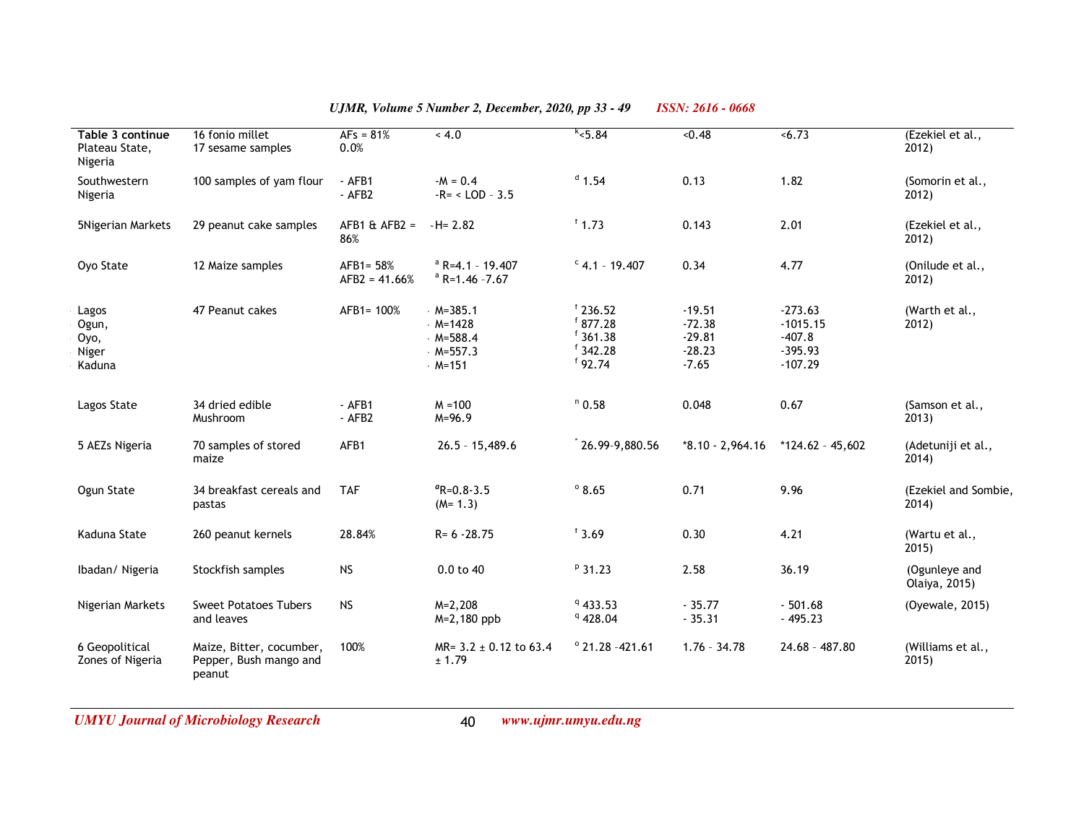| Table 3 continue<br>Plateau State,<br>Nigeria | 16 fonio millet<br>17 sesame samples                         | $AFs = 81%$<br>0.0%          | 4.0                                                                  | k < 5.84                                                       | < 0.48                                                  | < 6.73                                                        | (Ezekiel et al.,<br>2012)      |
|-----------------------------------------------|--------------------------------------------------------------|------------------------------|----------------------------------------------------------------------|----------------------------------------------------------------|---------------------------------------------------------|---------------------------------------------------------------|--------------------------------|
| Southwestern<br>Nigeria                       | 100 samples of yam flour                                     | $-$ AFB1<br>$-AFB2$          | $-M = 0.4$<br>$-R = <$ LOD $-3.5$                                    | $d$ 1.54                                                       | 0.13                                                    | 1.82                                                          | (Somorin et al.,<br>2012)      |
| 5Nigerian Markets                             | 29 peanut cake samples                                       | $AFB1 \& AFB2 =$<br>86%      | $-H = 2.82$                                                          | $f$ 1.73                                                       | 0.143                                                   | 2.01                                                          | (Ezekiel et al.,<br>2012)      |
| Oyo State                                     | 12 Maize samples                                             | AFB1= 58%<br>$AFB2 = 41.66%$ | $a$ R=4.1 - 19.407<br>$a$ R=1.46 -7.67                               | $C$ 4.1 - 19.407                                               | 0.34                                                    | 4.77                                                          | (Onilude et al.,<br>2012)      |
| Lagos<br>Ogun,<br>Oyo,<br>Niger<br>Kaduna     | 47 Peanut cakes                                              | AFB1= 100%                   | $M = 385.1$<br>$M = 1428$<br>$M = 588.4$<br>$M = 557.3$<br>$M = 151$ | 1236.52<br>$f$ 877.28<br>$f$ 361.38<br>$f$ 342.28<br>$f$ 92.74 | $-19.51$<br>$-72.38$<br>$-29.81$<br>$-28.23$<br>$-7.65$ | $-273.63$<br>$-1015.15$<br>$-407.8$<br>$-395.93$<br>$-107.29$ | (Warth et al.,<br>2012)        |
| Lagos State                                   | 34 dried edible<br>Mushroom                                  | $-$ AFB1<br>$-$ AFB2         | $M = 100$<br>$M = 96.9$                                              | $n$ 0.58                                                       | 0.048                                                   | 0.67                                                          | (Samson et al.,<br>2013)       |
| 5 AEZs Nigeria                                | 70 samples of stored<br>maize                                | AFB1                         | $26.5 - 15,489.6$                                                    | $36.99-9,880.56$                                               | $*8.10 - 2,964.16$                                      | $*124.62 - 45,602$                                            | (Adetuniji et al.,<br>2014)    |
| Ogun State                                    | 34 breakfast cereals and<br>pastas                           | <b>TAF</b>                   | $R = 0.8 - 3.5$<br>$(M=1.3)$                                         | $^{\circ}$ 8.65                                                | 0.71                                                    | 9.96                                                          | (Ezekiel and Sombie,<br>2014)  |
| Kaduna State                                  | 260 peanut kernels                                           | 28.84%                       | $R = 6 - 28.75$                                                      | $f$ 3.69                                                       | 0.30                                                    | 4.21                                                          | (Wartu et al.,<br>2015)        |
| Ibadan/Nigeria                                | Stockfish samples                                            | <b>NS</b>                    | $0.0$ to $40$                                                        | $P$ 31.23                                                      | 2.58                                                    | 36.19                                                         | (Ogunleye and<br>Olaiya, 2015) |
| Nigerian Markets                              | <b>Sweet Potatoes Tubers</b><br>and leaves                   | <b>NS</b>                    | $M = 2,208$<br>M=2,180 ppb                                           | 9433.53<br>9428.04                                             | $-35.77$<br>$-35.31$                                    | $-501.68$<br>$-495.23$                                        | (Oyewale, 2015)                |
| 6 Geopolitical<br>Zones of Nigeria            | Maize, Bitter, cocumber,<br>Pepper, Bush mango and<br>peanut | 100%                         | MR= $3.2 \pm 0.12$ to 63.4<br>± 1.79                                 | $^{\circ}$ 21.28 -421.61                                       | $1.76 - 34.78$                                          | $24.68 - 487.80$                                              | (Williams et al.,<br>2015)     |

*UMYU Journal of Microbiology Research www.ujmr.umyu.edu.ng*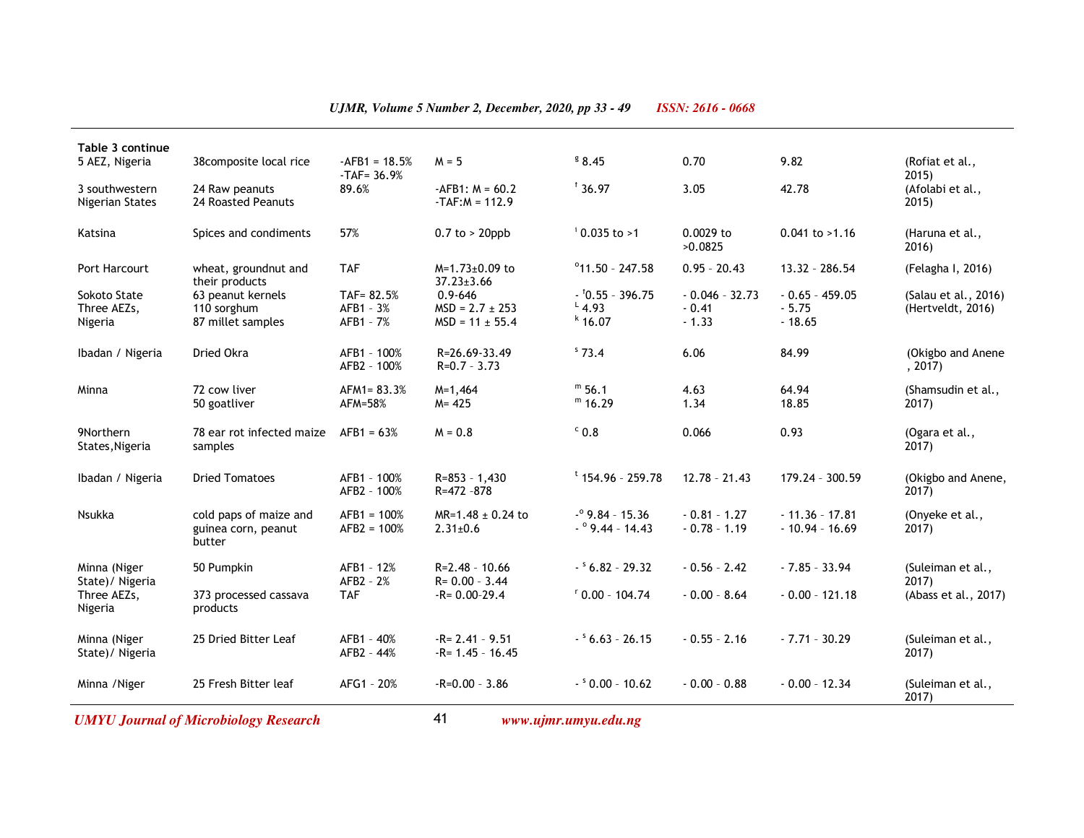| Minna (Niger<br>State)/ Nigeria<br>Minna / Niger | 50 Pumpkin<br>373 processed cassava<br>products<br>25 Dried Bitter Leaf<br>25 Fresh Bitter leaf | AFB1 - 12%<br>AFB2 - 2%<br><b>TAF</b><br>AFB1 - 40%<br>AFB2 - 44%<br>AFG1 - 20% | $R = 2.48 - 10.66$<br>$R = 0.00 - 3.44$<br>$-R = 0.00 - 29.4$<br>$-R = 2.41 - 9.51$<br>$-R = 1.45 - 16.45$<br>$-R=0.00 - 3.86$ | $ 56.82 - 29.32$<br>$0.00 - 104.74$<br>$ 6.63 - 26.15$<br>$ 80.00 - 10.62$ | $-0.56 - 2.42$<br>$-0.00 - 8.64$<br>$-0.55 - 2.16$<br>$-0.00 - 0.88$ | $-7.85 - 33.94$<br>$-0.00 - 121.18$<br>$-7.71 - 30.29$<br>$-0.00 - 12.34$ | (Suleiman et al.,<br>2017)<br>(Abass et al., 2017)<br>(Suleiman et al.,<br>2017)<br>(Suleiman et al.,<br>2017) |
|--------------------------------------------------|-------------------------------------------------------------------------------------------------|---------------------------------------------------------------------------------|--------------------------------------------------------------------------------------------------------------------------------|----------------------------------------------------------------------------|----------------------------------------------------------------------|---------------------------------------------------------------------------|----------------------------------------------------------------------------------------------------------------|
|                                                  |                                                                                                 |                                                                                 |                                                                                                                                |                                                                            |                                                                      |                                                                           |                                                                                                                |
|                                                  |                                                                                                 |                                                                                 |                                                                                                                                |                                                                            |                                                                      |                                                                           |                                                                                                                |
| Three AEZs,<br>Nigeria                           |                                                                                                 |                                                                                 |                                                                                                                                |                                                                            |                                                                      |                                                                           |                                                                                                                |
| Minna (Niger<br>State)/ Nigeria                  |                                                                                                 |                                                                                 |                                                                                                                                |                                                                            |                                                                      |                                                                           |                                                                                                                |
| Nsukka                                           | cold paps of maize and<br>guinea corn, peanut<br>butter                                         | $AFB1 = 100%$<br>$AFB2 = 100%$                                                  | $MR=1.48 \pm 0.24$ to<br>$2.31 \pm 0.6$                                                                                        | $-°9.84 - 15.36$<br>$ ^{\circ}$ 9.44 - 14.43                               | $-0.81 - 1.27$<br>$-0.78 - 1.19$                                     | $-11.36 - 17.81$<br>$-10.94 - 16.69$                                      | (Onyeke et al.,<br>$2017$ )                                                                                    |
| Ibadan / Nigeria                                 | <b>Dried Tomatoes</b>                                                                           | AFB1 - 100%<br>AFB2 - 100%                                                      | $R = 853 - 1.430$<br>R=472 -878                                                                                                | $t$ 154.96 - 259.78                                                        | $12.78 - 21.43$                                                      | 179.24 - 300.59                                                           | (Okigbo and Anene,<br>$2017$ )                                                                                 |
| 9Northern<br>States, Nigeria                     | 78 ear rot infected maize<br>samples                                                            | $AFB1 = 63%$                                                                    | $M = 0.8$                                                                                                                      | $^{\circ}$ 0.8                                                             | 0.066                                                                | 0.93                                                                      | (Ogara et al.,<br>2017)                                                                                        |
| Minna                                            | 72 cow liver<br>50 goatliver                                                                    | AFM1= 83.3%<br>AFM=58%                                                          | $M=1,464$<br>$M = 425$                                                                                                         | $m$ 56.1<br>$m$ 16.29                                                      | 4.63<br>1.34                                                         | 64.94<br>18.85                                                            | (Shamsudin et al.,<br>2017)                                                                                    |
| Ibadan / Nigeria                                 | Dried Okra                                                                                      | AFB1 - 100%<br>AFB2 - 100%                                                      | R=26.69-33.49<br>$R=0.7 - 3.73$                                                                                                | \$73.4                                                                     | 6.06                                                                 | 84.99                                                                     | (Okigbo and Anene<br>, 2017)                                                                                   |
| Sokoto State<br>Three AEZs,<br>Nigeria           | 63 peanut kernels<br>110 sorghum<br>87 millet samples                                           | TAF= 82.5%<br>AFB1 - 3%<br>AFB1 - 7%                                            | $0.9 - 646$<br>$MSD = 2.7 \pm 253$<br>$MSD = 11 \pm 55.4$                                                                      | $ (0.55 - 396.75)$<br>$^{L}$ 4.93<br>$k$ 16.07                             | $-0.046 - 32.73$<br>$-0.41$<br>$-1.33$                               | $-0.65 - 459.05$<br>$-5.75$<br>$-18.65$                                   | (Salau et al., 2016)<br>(Hertveldt, 2016)                                                                      |
| Port Harcourt                                    | wheat, groundnut and<br>their products                                                          | <b>TAF</b>                                                                      | $M=1.73\pm0.09$ to<br>$37.23 \pm 3.66$                                                                                         | $^{\circ}$ 11.50 - 247.58                                                  | $0.95 - 20.43$                                                       | 13.32 - 286.54                                                            | (Felagha I, 2016)                                                                                              |
| Katsina                                          | Spices and condiments                                                                           | 57%                                                                             | $0.7$ to > 20ppb                                                                                                               | $10.035$ to >1                                                             | 0.0029 to<br>>0.0825                                                 | $0.041$ to $>1.16$                                                        | (Haruna et al.,<br>2016)                                                                                       |
| 3 southwestern<br>Nigerian States                | 24 Raw peanuts<br>24 Roasted Peanuts                                                            | 89.6%                                                                           | $-AFB1: M = 60.2$<br>$-TAF: M = 112.9$                                                                                         | $f$ 36.97                                                                  | 3.05                                                                 | 42.78                                                                     | (Afolabi et al.,<br>2015)                                                                                      |
| Table 3 continue<br>5 AEZ, Nigeria               | 38 composite local rice                                                                         | $-AFB1 = 18.5%$<br>$-TAF = 36.9%$                                               | $M = 5$                                                                                                                        | 8.45                                                                       | 0.70                                                                 | 9.82                                                                      | (Rofiat et al.,<br>2015)                                                                                       |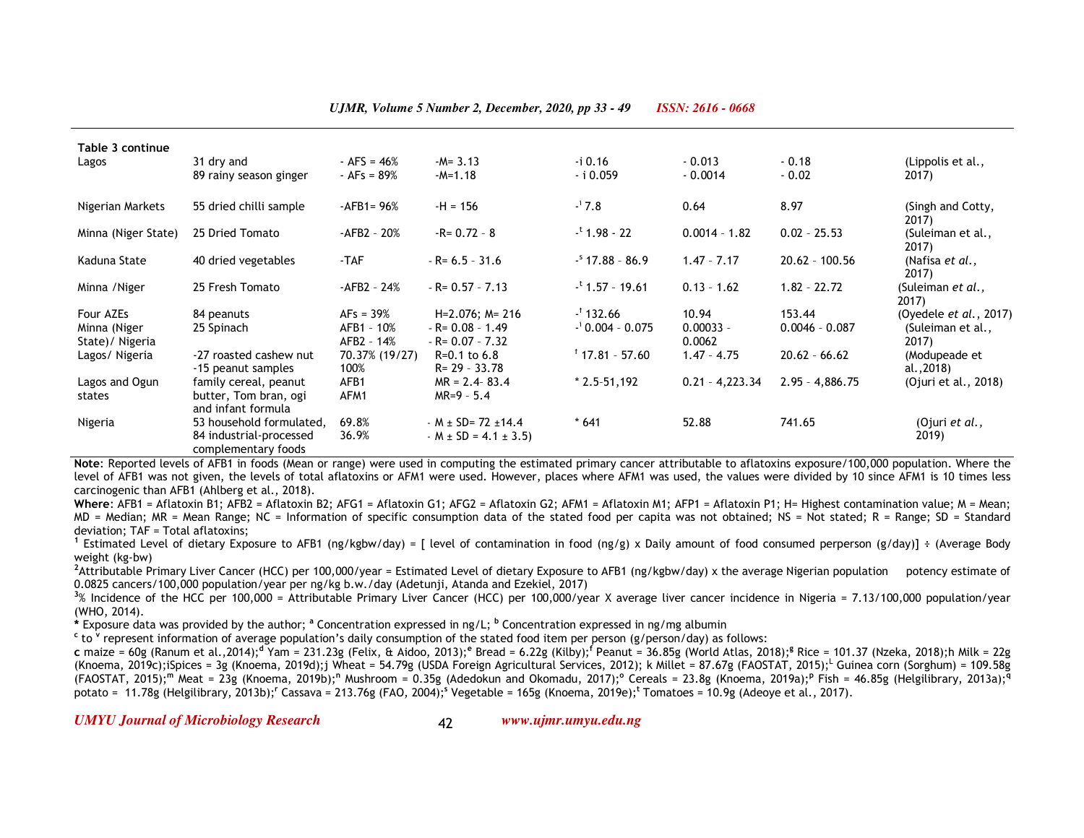| Table 3 continue<br>Lagos                    | 31 dry and<br>89 rainy season ginger                                       | $-$ AFS = 46%<br>$-AFs = 89%$           | $-M = 3.13$<br>$-M=1.18$                                       | -i 0.16<br>- i 0.059                         | $-0.013$<br>$-0.0014$          | $-0.18$<br>$-0.02$         | (Lippolis et al.,<br>2017)                             |
|----------------------------------------------|----------------------------------------------------------------------------|-----------------------------------------|----------------------------------------------------------------|----------------------------------------------|--------------------------------|----------------------------|--------------------------------------------------------|
| Nigerian Markets                             | 55 dried chilli sample                                                     | $-AFB1 = 96%$                           | $-H = 156$                                                     | $-17.8$                                      | 0.64                           | 8.97                       | (Singh and Cotty,<br>2017)                             |
| Minna (Niger State)                          | 25 Dried Tomato                                                            | $-AFB2 - 20%$                           | $-R = 0.72 - 8$                                                | $-$ <sup>t</sup> 1.98 - 22                   | $0.0014 - 1.82$                | $0.02 - 25.53$             | (Suleiman et al.,<br>2017)                             |
| Kaduna State                                 | 40 dried vegetables                                                        | -TAF                                    | $-R = 6.5 - 31.6$                                              | $-$ <sup>5</sup> 17.88 - 86.9                | $1.47 - 7.17$                  | $20.62 - 100.56$           | (Nafisa et al.,<br>2017)                               |
| Minna / Niger                                | 25 Fresh Tomato                                                            | -AFB2 - 24%                             | $-R = 0.57 - 7.13$                                             | $-$ <sup>t</sup> 1.57 - 19.61                | $0.13 - 1.62$                  | $1.82 - 22.72$             | (Suleiman <i>et al.</i> ,<br>2017)                     |
| Four AZEs<br>Minna (Niger<br>State)/ Nigeria | 84 peanuts<br>25 Spinach                                                   | $AFs = 39%$<br>AFB1 - 10%<br>AFB2 - 14% | $H=2.076$ ; M= 216<br>$-R = 0.08 - 1.49$<br>$-R = 0.07 - 7.32$ | $-$ <sup>f</sup> 132.66<br>$-10.004 - 0.075$ | 10.94<br>$0.00033 -$<br>0.0062 | 153.44<br>$0.0046 - 0.087$ | (Oyedele $et$ al., 2017)<br>(Suleiman et al.,<br>2017) |
| Lagos/Nigeria                                | -27 roasted cashew nut<br>-15 peanut samples                               | 70.37% (19/27)<br>100%                  | $R = 0.1$ to 6.8<br>R= 29 - 33.78                              | $17.81 - 57.60$                              | $1.47 - 4.75$                  | $20.62 - 66.62$            | (Modupeade et<br>al.,2018)                             |
| Lagos and Ogun<br>states                     | family cereal, peanut<br>butter, Tom bran, ogi<br>and infant formula       | AFB1<br>AFM1                            | $MR = 2.4 - 83.4$<br>$MR=9 - 5.4$                              | $*$ 2.5-51,192                               | $0.21 - 4,223.34$              | $2.95 - 4,886.75$          | (Ojuri et al., 2018)                                   |
| Nigeria                                      | 53 household formulated,<br>84 industrial-processed<br>complementary foods | 69.8%<br>36.9%                          | $M \pm SD = 72 \pm 14.4$<br>$-M \pm SD = 4.1 \pm 3.5$          | $* 641$                                      | 52.88                          | 741.65                     | (Ojuri et al.,<br>2019)                                |

 **Note**: Reported levels of AFB1 in foods (Mean or range) were used in computing the estimated primary cancer attributable to aflatoxins exposure/100,000 population. Where the level of AFB1 was not given, the levels of total aflatoxins or AFM1 were used. However, places where AFM1 was used, the values were divided by 10 since AFM1 is 10 times less carcinogenic than AFB1 (Ahlberg et al., 2018).

 **Where**: AFB1 = Aflatoxin B1; AFB2 = Aflatoxin B2; AFG1 = Aflatoxin G1; AFG2 = Aflatoxin G2; AFM1 = Aflatoxin M1; AFP1 = Aflatoxin P1; H= Highest contamination value; M = Mean; MD = Median; MR = Mean Range; NC = Information of specific consumption data of the stated food per capita was not obtained; NS = Not stated; R = Range; SD = Standard deviation; TAF = Total aflatoxins;

 **<sup>1</sup>** Estimated Level of dietary Exposure to AFB1 (ng/kgbw/day) = [ level of contamination in food (ng/g) x Daily amount of food consumed perperson (g/day)] ÷ (Average Body weight (kg-bw)

 **<sup>2</sup>**Attributable Primary Liver Cancer (HCC) per 100,000/year = Estimated Level of dietary Exposure to AFB1 (ng/kgbw/day) x the average Nigerian population potency estimate of 0.0825 cancers/100,000 population/year per ng/kg b.w./day (Adetunji, Atanda and Ezekiel, 2017)

 **<sup>3</sup>**% Incidence of the HCC per 100,000 = Attributable Primary Liver Cancer (HCC) per 100,000/year X average liver cancer incidence in Nigeria = 7.13/100,000 population/year (WHO, 2014).

**\*** Exposure data was provided by the author; **<sup>a</sup>** Concentration expressed in ng/L; **<sup>b</sup>** Concentration expressed in ng/mg albumin

**<sup>c</sup>** to **<sup>v</sup>** represent information of average population's daily consumption of the stated food item per person (g/person/day) as follows:

 **c** maize = 60g (Ranum et al.,2014);**<sup>d</sup>** Yam = 231.23g (Felix, & Aidoo, 2013);**<sup>e</sup>** Bread = 6.22g (Kilby);**<sup>f</sup>** Peanut = 36.85g (World Atlas, 2018);**<sup>g</sup>** Rice = 101.37 (Nzeka, 2018);h Milk = 22g (Knoema, 2019c);iSpices = 3g (Knoema, 2019d);j Wheat = 54.79g (USDA Foreign Agricultural Services, 2012); k Millet = 87.67g (FAOSTAT, 2015);<sup>L</sup> Guinea corn (Sorghum) = 109.58g (FAOSTAT, 2015);**<sup>m</sup>** Meat = 23g (Knoema, 2019b);**<sup>n</sup>** Mushroom = 0.35g (Adedokun and Okomadu, 2017);**<sup>o</sup>** Cereals = 23.8g (Knoema, 2019a);**<sup>p</sup>** Fish = 46.85g (Helgilibrary, 2013a);**<sup>q</sup>** potato = 11.78g (Helgilibrary, 2013b);**r** Cassava = 213.76g (FAO, 2004);**s** Vegetable = 165g (Knoema, 2019e);**<sup>t</sup>** Tomatoes = 10.9g (Adeoye et al., 2017).

*UMYU Journal of Microbiology Research www.ujmr.umyu.edu.ng*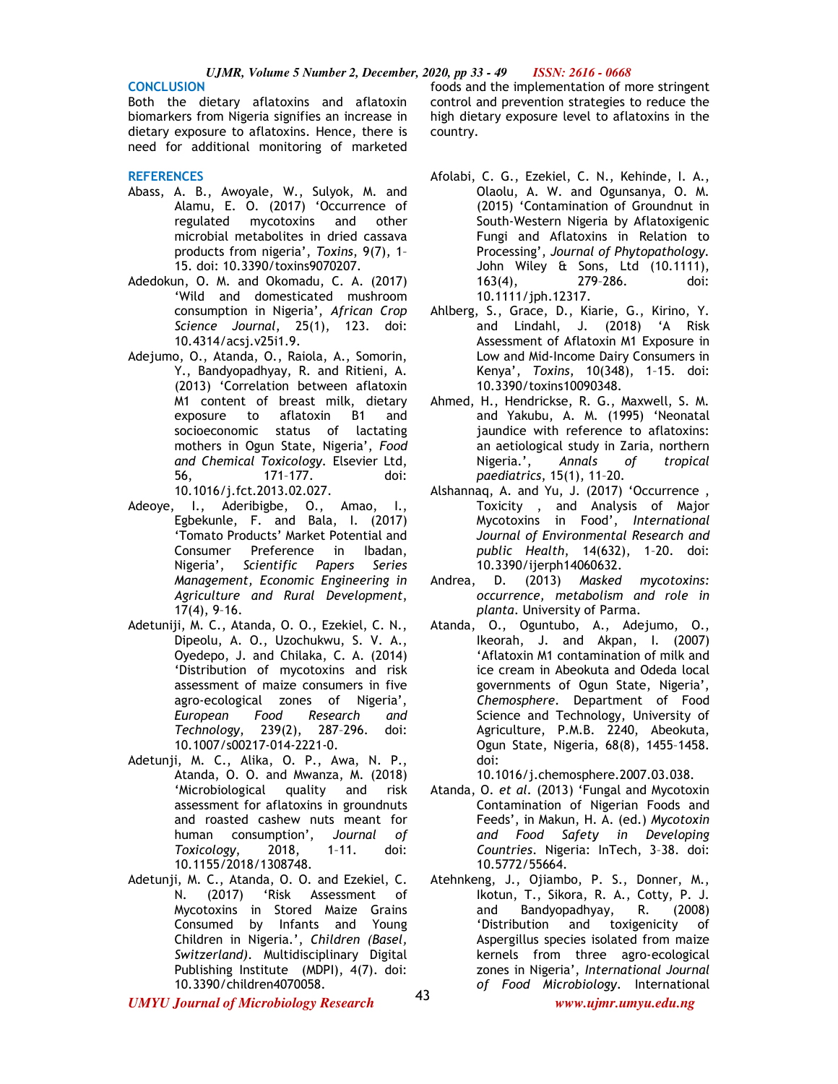#### **CONCLUSION**

Both the dietary aflatoxins and aflatoxin biomarkers from Nigeria signifies an increase in dietary exposure to aflatoxins. Hence, there is need for additional monitoring of marketed

#### **REFERENCES**

- Abass, A. B., Awoyale, W., Sulyok, M. and Alamu, E. O. (2017) 'Occurrence of regulated mycotoxins and other microbial metabolites in dried cassava products from nigeria', *Toxins*, 9(7), 1– 15. doi: 10.3390/toxins9070207.
- Adedokun, O. M. and Okomadu, C. A. (2017) 'Wild and domesticated mushroom consumption in Nigeria', *African Crop Science Journal*, 25(1), 123. doi: 10.4314/acsj.v25i1.9.
- Adejumo, O., Atanda, O., Raiola, A., Somorin, Y., Bandyopadhyay, R. and Ritieni, A. (2013) 'Correlation between aflatoxin M1 content of breast milk, dietary exposure to aflatoxin B1 and socioeconomic status of lactating mothers in Ogun State, Nigeria', *Food and Chemical Toxicology*. Elsevier Ltd, 56, 171–177. doi: 10.1016/j.fct.2013.02.027.
- Adeoye, I., Aderibigbe, O., Amao, I., Egbekunle, F. and Bala, I. (2017) 'Tomato Products' Market Potential and Consumer Preference in Ibadan, Nigeria', *Scientific Papers Series Management, Economic Engineering in Agriculture and Rural Development*, 17(4), 9–16.
- Adetuniji, M. C., Atanda, O. O., Ezekiel, C. N., Dipeolu, A. O., Uzochukwu, S. V. A., Oyedepo, J. and Chilaka, C. A. (2014) 'Distribution of mycotoxins and risk assessment of maize consumers in five agro-ecological zones of Nigeria', *European Food Research and Technology*, 239(2), 287–296. doi: 10.1007/s00217-014-2221-0.
- Adetunji, M. C., Alika, O. P., Awa, N. P., Atanda, O. O. and Mwanza, M. (2018) 'Microbiological quality and risk assessment for aflatoxins in groundnuts and roasted cashew nuts meant for human consumption', *Journal of Toxicology*, 2018, 1–11. doi: 10.1155/2018/1308748.
- Adetunji, M. C., Atanda, O. O. and Ezekiel, C. N. (2017) 'Risk Assessment of Mycotoxins in Stored Maize Grains Consumed by Infants and Young Children in Nigeria.', *Children (Basel, Switzerland)*. Multidisciplinary Digital Publishing Institute (MDPI), 4(7). doi: 10.3390/children4070058.

foods and the implementation of more stringent control and prevention strategies to reduce the high dietary exposure level to aflatoxins in the country.

- Afolabi, C. G., Ezekiel, C. N., Kehinde, I. A., Olaolu, A. W. and Ogunsanya, O. M. (2015) 'Contamination of Groundnut in South-Western Nigeria by Aflatoxigenic Fungi and Aflatoxins in Relation to Processing', *Journal of Phytopathology*. John Wiley & Sons, Ltd (10.1111), 163(4), 279–286. doi: 10.1111/jph.12317.
- Ahlberg, S., Grace, D., Kiarie, G., Kirino, Y. and Lindahl, J. (2018) 'A Risk Assessment of Aflatoxin M1 Exposure in Low and Mid-Income Dairy Consumers in Kenya', *Toxins*, 10(348), 1–15. doi: 10.3390/toxins10090348.
- Ahmed, H., Hendrickse, R. G., Maxwell, S. M. and Yakubu, A. M. (1995) 'Neonatal jaundice with reference to aflatoxins: an aetiological study in Zaria, northern Nigeria.', *Annals of tropical paediatrics*, 15(1), 11–20.
- Alshannaq, A. and Yu, J. (2017) 'Occurrence , Toxicity , and Analysis of Major Mycotoxins in Food', *International Journal of Environmental Research and public Health*, 14(632), 1–20. doi: 10.3390/ijerph14060632.
- Andrea, D. (2013) *Masked mycotoxins: occurrence, metabolism and role in planta*. University of Parma.
- Atanda, O., Oguntubo, A., Adejumo, O., Ikeorah, J. and Akpan, I. (2007) 'Aflatoxin M1 contamination of milk and ice cream in Abeokuta and Odeda local governments of Ogun State, Nigeria', *Chemosphere*. Department of Food Science and Technology, University of Agriculture, P.M.B. 2240, Abeokuta, Ogun State, Nigeria, 68(8), 1455–1458. doi:

10.1016/j.chemosphere.2007.03.038.

- Atanda, O. *et al.* (2013) 'Fungal and Mycotoxin Contamination of Nigerian Foods and Feeds', in Makun, H. A. (ed.) *Mycotoxin and Food Safety in Developing Countries*. Nigeria: InTech, 3–38. doi: 10.5772/55664.
- Atehnkeng, J., Ojiambo, P. S., Donner, M., Ikotun, T., Sikora, R. A., Cotty, P. J. and Bandyopadhyay, R. (2008) 'Distribution and toxigenicity of Aspergillus species isolated from maize kernels from three agro-ecological zones in Nigeria', *International Journal of Food Microbiology*. International

*UMYU Journal of Microbiology Research www.ujmr.umyu.edu.ng*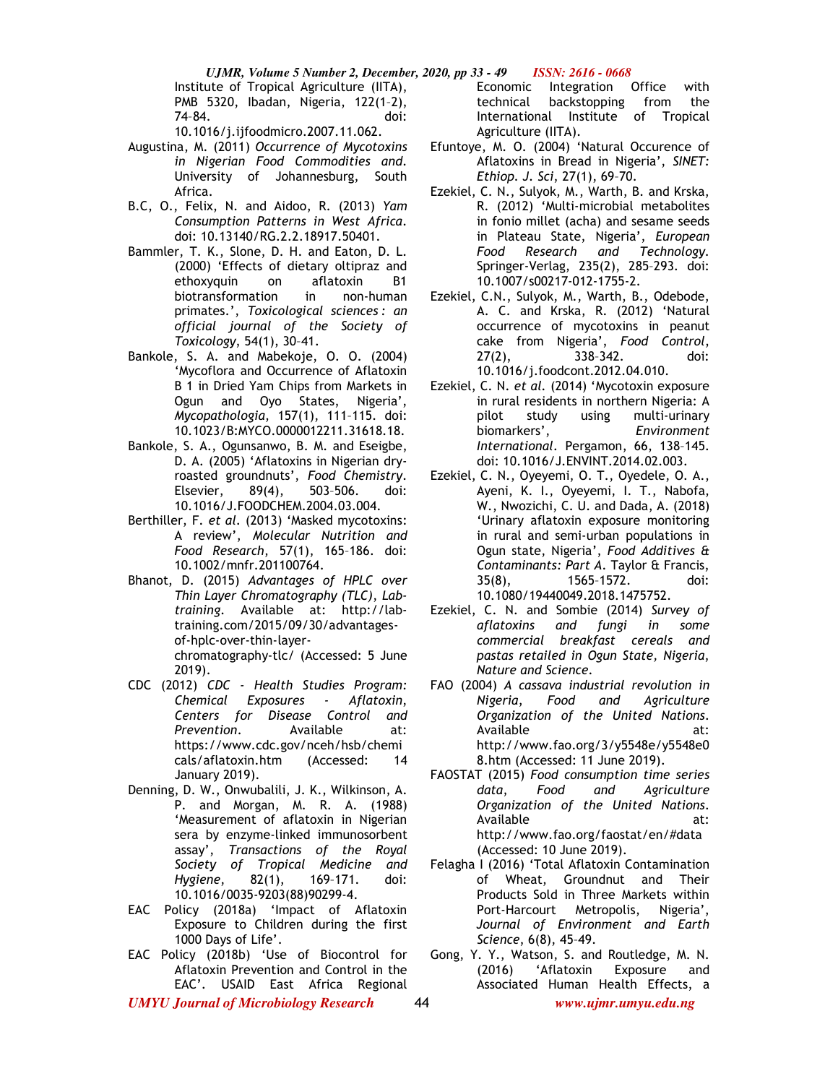Institute of Tropical Agriculture (IITA), PMB 5320, Ibadan, Nigeria, 122(1–2), 74–84. doi:

10.1016/j.ijfoodmicro.2007.11.062.

- Augustina, M. (2011) *Occurrence of Mycotoxins in Nigerian Food Commodities and*. University of Johannesburg, South Africa.
- B.C, O., Felix, N. and Aidoo, R. (2013) *Yam Consumption Patterns in West Africa*. doi: 10.13140/RG.2.2.18917.50401.
- Bammler, T. K., Slone, D. H. and Eaton, D. L. (2000) 'Effects of dietary oltipraz and ethoxyquin on aflatoxin B1 biotransformation in non-human primates.', *Toxicological sciences : an official journal of the Society of Toxicology*, 54(1), 30–41.
- Bankole, S. A. and Mabekoje, O. O. (2004) 'Mycoflora and Occurrence of Aflatoxin B 1 in Dried Yam Chips from Markets in Ogun and Oyo States, Nigeria', *Mycopathologia*, 157(1), 111–115. doi: 10.1023/B:MYCO.0000012211.31618.18.
- Bankole, S. A., Ogunsanwo, B. M. and Eseigbe, D. A. (2005) 'Aflatoxins in Nigerian dryroasted groundnuts', *Food Chemistry*. Elsevier, 89(4), 503–506. doi: 10.1016/J.FOODCHEM.2004.03.004.
- Berthiller, F. *et al.* (2013) 'Masked mycotoxins: A review', *Molecular Nutrition and Food Research*, 57(1), 165–186. doi: 10.1002/mnfr.201100764.
- Bhanot, D. (2015) *Advantages of HPLC over Thin Layer Chromatography (TLC)*, *Labtraining*. Available at: http://labtraining.com/2015/09/30/advantagesof-hplc-over-thin-layerchromatography-tlc/ (Accessed: 5 June 2019).
- CDC (2012) *CDC Health Studies Program: Chemical Exposures - Aflatoxin*, *Centers for Disease Control and Prevention*. Available at: https://www.cdc.gov/nceh/hsb/chemi cals/aflatoxin.htm (Accessed: 14 January 2019).
- Denning, D. W., Onwubalili, J. K., Wilkinson, A. P. and Morgan, M. R. A. (1988) 'Measurement of aflatoxin in Nigerian sera by enzyme-linked immunosorbent assay', *Transactions of the Royal Society of Tropical Medicine and Hygiene*, 82(1), 169–171. doi: 10.1016/0035-9203(88)90299-4.
- EAC Policy (2018a) 'Impact of Aflatoxin Exposure to Children during the first 1000 Days of Life'.
- EAC Policy (2018b) 'Use of Biocontrol for Aflatoxin Prevention and Control in the EAC'. USAID East Africa Regional

Economic Integration Office with technical backstopping from the International Institute of Tropical Agriculture (IITA).

- Efuntoye, M. O. (2004) 'Natural Occurence of Aflatoxins in Bread in Nigeria', *SINET: Ethiop. J. Sci*, 27(1), 69–70.
- Ezekiel, C. N., Sulyok, M., Warth, B. and Krska, R. (2012) 'Multi-microbial metabolites in fonio millet (acha) and sesame seeds in Plateau State, Nigeria', *European Food Research and Technology*. Springer-Verlag, 235(2), 285–293. doi: 10.1007/s00217-012-1755-2.
- Ezekiel, C.N., Sulyok, M., Warth, B., Odebode, A. C. and Krska, R. (2012) 'Natural occurrence of mycotoxins in peanut cake from Nigeria', *Food Control*, 27(2), 338–342. doi: 10.1016/j.foodcont.2012.04.010.
- Ezekiel, C. N. *et al.* (2014) 'Mycotoxin exposure in rural residents in northern Nigeria: A pilot study using multi-urinary biomarkers', *Environment International*. Pergamon, 66, 138–145. doi: 10.1016/J.ENVINT.2014.02.003.
- Ezekiel, C. N., Oyeyemi, O. T., Oyedele, O. A., Ayeni, K. I., Oyeyemi, I. T., Nabofa, W., Nwozichi, C. U. and Dada, A. (2018) 'Urinary aflatoxin exposure monitoring in rural and semi-urban populations in Ogun state, Nigeria', *Food Additives & Contaminants: Part A*. Taylor & Francis, 35(8), 1565–1572. doi: 10.1080/19440049.2018.1475752.
- Ezekiel, C. N. and Sombie (2014) *Survey of aflatoxins and fungi in some commercial breakfast cereals and pastas retailed in Ogun State, Nigeria*, *Nature and Science*.
- FAO (2004) *A cassava industrial revolution in Nigeria*, *Food and Agriculture Organization of the United Nations*. Available at: http://www.fao.org/3/y5548e/y5548e0 8.htm (Accessed: 11 June 2019).
- FAOSTAT (2015) *Food consumption time series data*, *Food and Agriculture Organization of the United Nations*. Available at: http://www.fao.org/faostat/en/#data (Accessed: 10 June 2019).
- Felagha I (2016) 'Total Aflatoxin Contamination of Wheat, Groundnut and Their Products Sold in Three Markets within Port-Harcourt Metropolis, Nigeria', *Journal of Environment and Earth Science*, 6(8), 45–49.
- *UMYU Journal of Microbiology Research www.ujmr.umyu.edu.ng* Gong, Y. Y., Watson, S. and Routledge, M. N. (2016) 'Aflatoxin Exposure and Associated Human Health Effects, a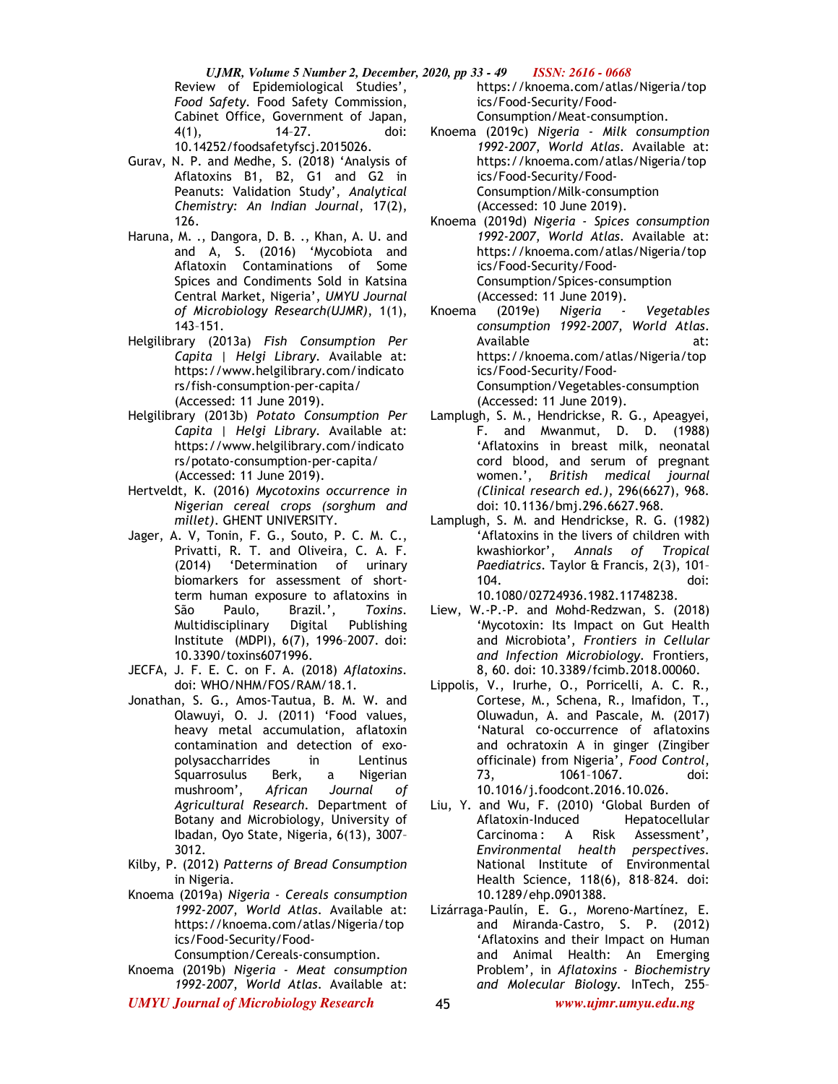*UJMR, Volume 5 Number 2, December, 2020, pp 33 - 49 ISSN: 2616 - 0668* Review of Epidemiological Studies', *Food Safety*. Food Safety Commission, Cabinet Office, Government of Japan, 4(1), 14–27. doi: 10.14252/foodsafetyfscj.2015026.

- Gurav, N. P. and Medhe, S. (2018) 'Analysis of Aflatoxins B1, B2, G1 and G2 in Peanuts: Validation Study', *Analytical Chemistry: An Indian Journal*, 17(2), 126.
- Haruna, M. ., Dangora, D. B. ., Khan, A. U. and and A, S. (2016) 'Mycobiota and Aflatoxin Contaminations of Some Spices and Condiments Sold in Katsina Central Market, Nigeria', *UMYU Journal of Microbiology Research(UJMR)*, 1(1), 143–151.
- Helgilibrary (2013a) *Fish Consumption Per Capita | Helgi Library*. Available at: https://www.helgilibrary.com/indicato rs/fish-consumption-per-capita/ (Accessed: 11 June 2019).
- Helgilibrary (2013b) *Potato Consumption Per Capita | Helgi Library*. Available at: https://www.helgilibrary.com/indicato rs/potato-consumption-per-capita/ (Accessed: 11 June 2019).
- Hertveldt, K. (2016) *Mycotoxins occurrence in Nigerian cereal crops (sorghum and millet)*. GHENT UNIVERSITY.
- Jager, A. V, Tonin, F. G., Souto, P. C. M. C., Privatti, R. T. and Oliveira, C. A. F. (2014) 'Determination of urinary biomarkers for assessment of shortterm human exposure to aflatoxins in São Paulo, Brazil.', *Toxins*. Multidisciplinary Digital Publishing Institute (MDPI), 6(7), 1996–2007. doi: 10.3390/toxins6071996.
- JECFA, J. F. E. C. on F. A. (2018) *Aflatoxins*. doi: WHO/NHM/FOS/RAM/18.1.
- Jonathan, S. G., Amos-Tautua, B. M. W. and Olawuyi, O. J. (2011) 'Food values, heavy metal accumulation, aflatoxin contamination and detection of exopolysaccharrides in Lentinus Squarrosulus Berk, a Nigerian mushroom', *African Journal of Agricultural Research*. Department of Botany and Microbiology, University of Ibadan, Oyo State, Nigeria, 6(13), 3007– 3012.
- Kilby, P. (2012) *Patterns of Bread Consumption* in Nigeria.
- Knoema (2019a) *Nigeria Cereals consumption 1992-2007*, *World Atlas*. Available at: https://knoema.com/atlas/Nigeria/top ics/Food-Security/Food-

Consumption/Cereals-consumption.

- Knoema (2019b) *Nigeria Meat consumption 1992-2007*, *World Atlas*. Available at:
- *UMYU Journal of Microbiology Research www.ujmr.umyu.edu.ng*

https://knoema.com/atlas/Nigeria/top ics/Food-Security/Food-Consumption/Meat-consumption.

- Knoema (2019c) *Nigeria Milk consumption 1992-2007*, *World Atlas*. Available at: https://knoema.com/atlas/Nigeria/top ics/Food-Security/Food-Consumption/Milk-consumption (Accessed: 10 June 2019).
- Knoema (2019d) *Nigeria Spices consumption 1992-2007*, *World Atlas*. Available at: https://knoema.com/atlas/Nigeria/top ics/Food-Security/Food-Consumption/Spices-consumption (Accessed: 11 June 2019).
- Knoema (2019e) *Nigeria Vegetables consumption 1992-2007*, *World Atlas*. Available at: https://knoema.com/atlas/Nigeria/top ics/Food-Security/Food-Consumption/Vegetables-consumption (Accessed: 11 June 2019).
- Lamplugh, S. M., Hendrickse, R. G., Apeagyei, F. and Mwanmut, D. D. (1988) 'Aflatoxins in breast milk, neonatal cord blood, and serum of pregnant women.', *British medical journal (Clinical research ed.)*, 296(6627), 968. doi: 10.1136/bmj.296.6627.968.
- Lamplugh, S. M. and Hendrickse, R. G. (1982) 'Aflatoxins in the livers of children with kwashiorkor', *Annals of Tropical Paediatrics*. Taylor & Francis, 2(3), 101– 104. doi: 10.1080/02724936.1982.11748238.
- Liew, W.-P.-P. and Mohd-Redzwan, S. (2018) 'Mycotoxin: Its Impact on Gut Health and Microbiota', *Frontiers in Cellular and Infection Microbiology*. Frontiers, 8, 60. doi: 10.3389/fcimb.2018.00060.
- Lippolis, V., Irurhe, O., Porricelli, A. C. R., Cortese, M., Schena, R., Imafidon, T., Oluwadun, A. and Pascale, M. (2017) 'Natural co-occurrence of aflatoxins and ochratoxin A in ginger (Zingiber officinale) from Nigeria', *Food Control*, 73, 1061–1067. doi: 10.1016/j.foodcont.2016.10.026.
- Liu, Y. and Wu, F. (2010) 'Global Burden of Aflatoxin-Induced Hepatocellular Carcinoma : A Risk Assessment', *Environmental health perspectives*. National Institute of Environmental Health Science, 118(6), 818–824. doi: 10.1289/ehp.0901388.
- Lizárraga-Paulín, E. G., Moreno-Martínez, E. and Miranda-Castro, S. P. (2012) 'Aflatoxins and their Impact on Human and Animal Health: An Emerging Problem', in *Aflatoxins - Biochemistry and Molecular Biology*. InTech, 255–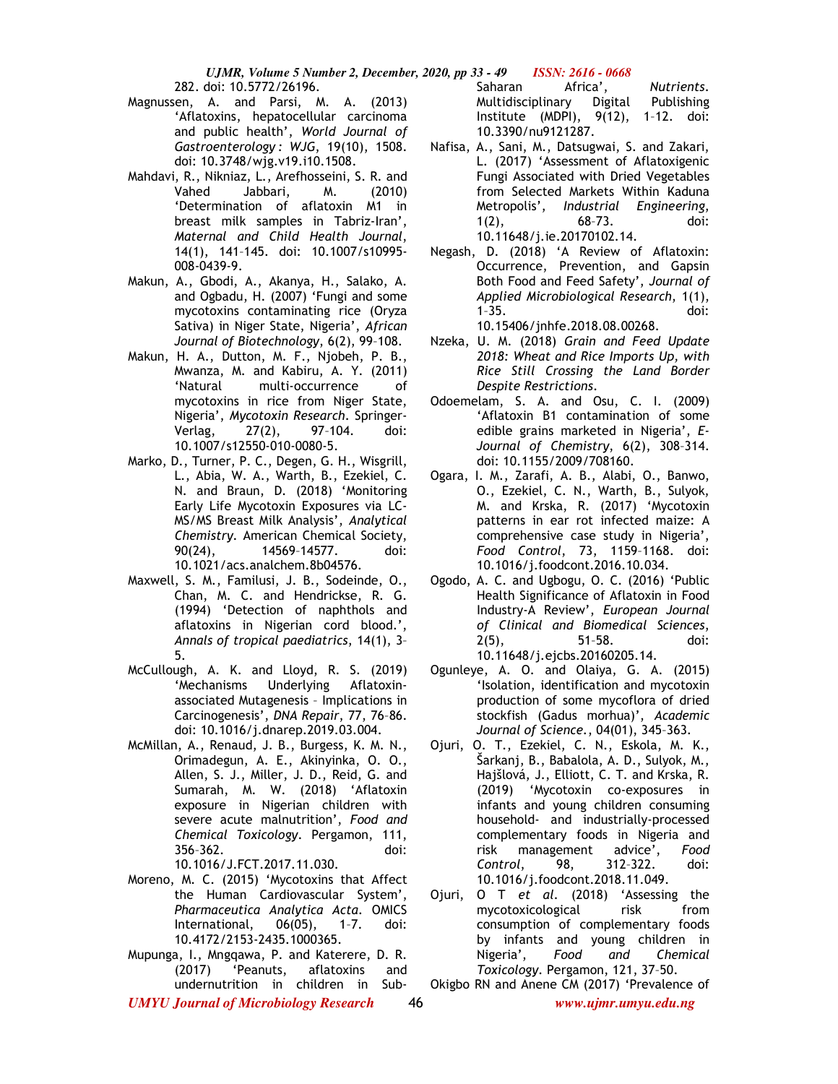282. doi: 10.5772/26196.

- Magnussen, A. and Parsi, M. A. (2013) 'Aflatoxins, hepatocellular carcinoma and public health', *World Journal of Gastroenterology : WJG*, 19(10), 1508. doi: 10.3748/wjg.v19.i10.1508.
- Mahdavi, R., Nikniaz, L., Arefhosseini, S. R. and Vahed Jabbari, M. (2010) 'Determination of aflatoxin M1 in breast milk samples in Tabriz-Iran', *Maternal and Child Health Journal*, 14(1), 141–145. doi: 10.1007/s10995- 008-0439-9.
- Makun, A., Gbodi, A., Akanya, H., Salako, A. and Ogbadu, H. (2007) 'Fungi and some mycotoxins contaminating rice (Oryza Sativa) in Niger State, Nigeria', *African Journal of Biotechnology*, 6(2), 99–108.
- Makun, H. A., Dutton, M. F., Njobeh, P. B., Mwanza, M. and Kabiru, A. Y. (2011) 'Natural multi-occurrence of mycotoxins in rice from Niger State, Nigeria', *Mycotoxin Research*. Springer-Verlag, 27(2), 97–104. doi: 10.1007/s12550-010-0080-5.
- Marko, D., Turner, P. C., Degen, G. H., Wisgrill, L., Abia, W. A., Warth, B., Ezekiel, C. N. and Braun, D. (2018) 'Monitoring Early Life Mycotoxin Exposures via LC-MS/MS Breast Milk Analysis', *Analytical Chemistry*. American Chemical Society, 90(24), 14569–14577. doi: 10.1021/acs.analchem.8b04576.
- Maxwell, S. M., Familusi, J. B., Sodeinde, O., Chan, M. C. and Hendrickse, R. G. (1994) 'Detection of naphthols and aflatoxins in Nigerian cord blood.', *Annals of tropical paediatrics*, 14(1), 3– 5.
- McCullough, A. K. and Lloyd, R. S. (2019) 'Mechanisms Underlying Aflatoxinassociated Mutagenesis – Implications in Carcinogenesis', *DNA Repair*, 77, 76–86. doi: 10.1016/j.dnarep.2019.03.004.
- McMillan, A., Renaud, J. B., Burgess, K. M. N., Orimadegun, A. E., Akinyinka, O. O., Allen, S. J., Miller, J. D., Reid, G. and Sumarah, M. W. (2018) 'Aflatoxin exposure in Nigerian children with severe acute malnutrition', *Food and Chemical Toxicology*. Pergamon, 111, 356–362. doi: 10.1016/J.FCT.2017.11.030.
- Moreno, M. C. (2015) 'Mycotoxins that Affect the Human Cardiovascular System', *Pharmaceutica Analytica Acta*. OMICS International, 06(05), 1–7. doi: 10.4172/2153-2435.1000365.
- Mupunga, I., Mngqawa, P. and Katerere, D. R. (2017) 'Peanuts, aflatoxins and undernutrition in children in Sub-

Saharan Africa', *Nutrients*. Multidisciplinary Digital Publishing Institute (MDPI), 9(12), 1–12. doi: 10.3390/nu9121287.

- Nafisa, A., Sani, M., Datsugwai, S. and Zakari, L. (2017) 'Assessment of Aflatoxigenic Fungi Associated with Dried Vegetables from Selected Markets Within Kaduna<br>Metropolis', Industrial Engineering, *Industrial Engineering,* 1(2), 68–73. doi: 10.11648/j.ie.20170102.14.
- Negash, D. (2018) 'A Review of Aflatoxin: Occurrence, Prevention, and Gapsin Both Food and Feed Safety', *Journal of Applied Microbiological Research*, 1(1), 1–35. doi: 10.15406/jnhfe.2018.08.00268.
- Nzeka, U. M. (2018) *Grain and Feed Update 2018: Wheat and Rice Imports Up, with Rice Still Crossing the Land Border Despite Restrictions*.
- Odoemelam, S. A. and Osu, C. I. (2009) 'Aflatoxin B1 contamination of some edible grains marketed in Nigeria', *E-Journal of Chemistry*, 6(2), 308–314. doi: 10.1155/2009/708160.
- Ogara, I. M., Zarafi, A. B., Alabi, O., Banwo, O., Ezekiel, C. N., Warth, B., Sulyok, M. and Krska, R. (2017) 'Mycotoxin patterns in ear rot infected maize: A comprehensive case study in Nigeria', *Food Control*, 73, 1159–1168. doi: 10.1016/j.foodcont.2016.10.034.
- Ogodo, A. C. and Ugbogu, O. C. (2016) 'Public Health Significance of Aflatoxin in Food Industry-A Review', *European Journal of Clinical and Biomedical Sciences*, 2(5), 51–58. doi: 10.11648/j.ejcbs.20160205.14.
- Ogunleye, A. O. and Olaiya, G. A. (2015) 'Isolation, identification and mycotoxin production of some mycoflora of dried stockfish (Gadus morhua)', *Academic Journal of Science.*, 04(01), 345–363.
- Ojuri, O. T., Ezekiel, C. N., Eskola, M. K., Šarkanj, B., Babalola, A. D., Sulyok, M., Hajšlová, J., Elliott, C. T. and Krska, R. (2019) 'Mycotoxin co-exposures in infants and young children consuming household- and industrially-processed complementary foods in Nigeria and risk management advice', *Food Control*, 98, 312–322. doi: 10.1016/j.foodcont.2018.11.049.
- Ojuri, O T *et al.* (2018) 'Assessing the mycotoxicological risk from consumption of complementary foods by infants and young children in<br>Nigeria', Food and Chemical Nigeria', *Food and Chemical Toxicology*. Pergamon, 121, 37–50.
- *UMYU Journal of Microbiology Research www.ujmr.umyu.edu.ng* Okigbo RN and Anene CM (2017) 'Prevalence of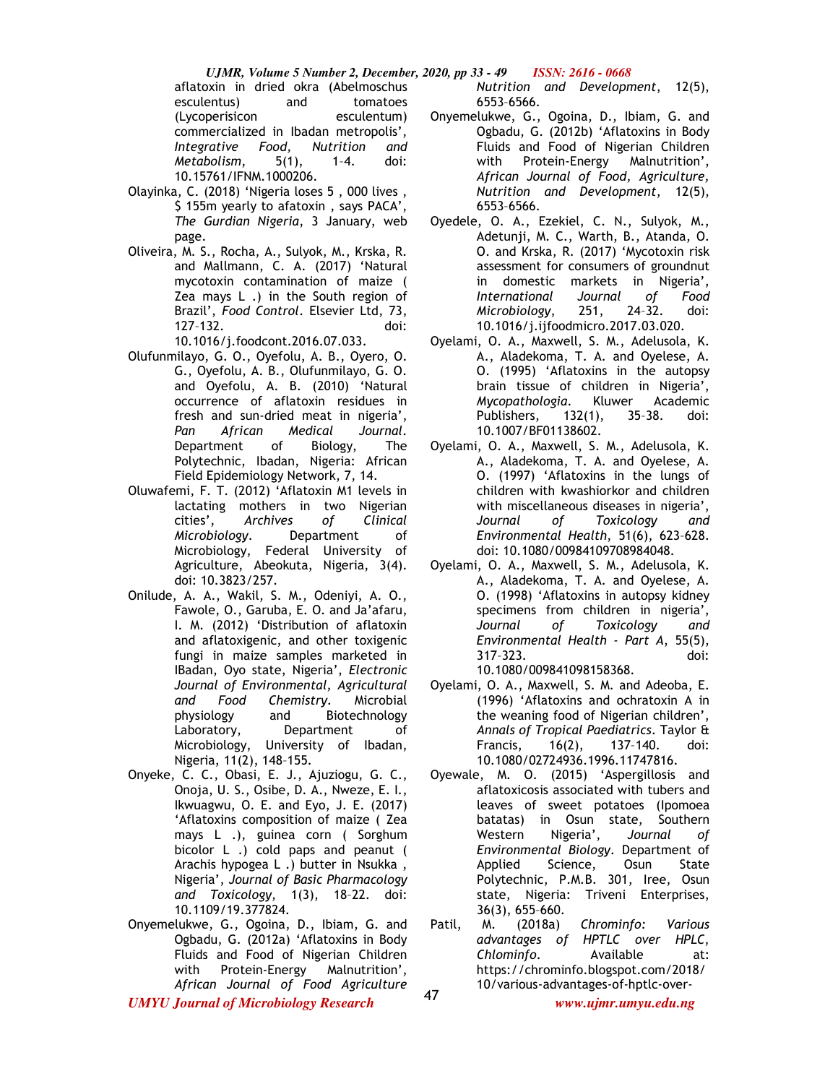aflatoxin in dried okra (Abelmoschus esculentus) and tomatoes (Lycoperisicon esculentum) commercialized in Ibadan metropolis', *Integrative Food, Nutrition and Metabolism*, 5(1), 1–4. doi: 10.15761/IFNM.1000206.

- Olayinka, C. (2018) 'Nigeria loses 5 , 000 lives , \$ 155m yearly to afatoxin , says PACA', *The Gurdian Nigeria*, 3 January, web page.
- Oliveira, M. S., Rocha, A., Sulyok, M., Krska, R. and Mallmann, C. A. (2017) 'Natural mycotoxin contamination of maize ( Zea mays L .) in the South region of Brazil', *Food Control*. Elsevier Ltd, 73, 127–132. doi: 10.1016/j.foodcont.2016.07.033.
- Olufunmilayo, G. O., Oyefolu, A. B., Oyero, O. G., Oyefolu, A. B., Olufunmilayo, G. O. and Oyefolu, A. B. (2010) 'Natural occurrence of aflatoxin residues in fresh and sun-dried meat in nigeria', *Pan African Medical Journal*. Department of Biology, The Polytechnic, Ibadan, Nigeria: African Field Epidemiology Network, 7, 14.
- Oluwafemi, F. T. (2012) 'Aflatoxin M1 levels in lactating mothers in two Nigerian cities', *Archives of Clinical Microbiology*. Department of Microbiology, Federal University of Agriculture, Abeokuta, Nigeria, 3(4). doi: 10.3823/257.
- Onilude, A. A., Wakil, S. M., Odeniyi, A. O., Fawole, O., Garuba, E. O. and Ja'afaru, I. M. (2012) 'Distribution of aflatoxin and aflatoxigenic, and other toxigenic fungi in maize samples marketed in IBadan, Oyo state, Nigeria', *Electronic Journal of Environmental, Agricultural and Food Chemistry*. Microbial physiology and Biotechnology Laboratory, Department of Microbiology, University of Ibadan, Nigeria, 11(2), 148–155.
- Onyeke, C. C., Obasi, E. J., Ajuziogu, G. C., Onoja, U. S., Osibe, D. A., Nweze, E. I., Ikwuagwu, O. E. and Eyo, J. E. (2017) 'Aflatoxins composition of maize ( Zea mays L .), guinea corn ( Sorghum bicolor L .) cold paps and peanut ( Arachis hypogea L .) butter in Nsukka , Nigeria', *Journal of Basic Pharmacology and Toxicology*, 1(3), 18–22. doi: 10.1109/19.377824.
- Onyemelukwe, G., Ogoina, D., Ibiam, G. and Ogbadu, G. (2012a) 'Aflatoxins in Body Fluids and Food of Nigerian Children with Protein-Energy Malnutrition', *African Journal of Food Agriculture*

*Nutrition and Development*, 12(5), 6553–6566.

- Onyemelukwe, G., Ogoina, D., Ibiam, G. and Ogbadu, G. (2012b) 'Aflatoxins in Body Fluids and Food of Nigerian Children with Protein-Energy Malnutrition', *African Journal of Food, Agriculture, Nutrition and Development*, 12(5), 6553–6566.
- Oyedele, O. A., Ezekiel, C. N., Sulyok, M., Adetunji, M. C., Warth, B., Atanda, O. O. and Krska, R. (2017) 'Mycotoxin risk assessment for consumers of groundnut in domestic markets in Nigeria', *International Journal of Food Microbiology*, 251, 24–32. doi: 10.1016/j.ijfoodmicro.2017.03.020.
- Oyelami, O. A., Maxwell, S. M., Adelusola, K. A., Aladekoma, T. A. and Oyelese, A. O. (1995) 'Aflatoxins in the autopsy brain tissue of children in Nigeria', *Mycopathologia*. Kluwer Academic Publishers, 132(1), 35–38. doi: 10.1007/BF01138602.
- Oyelami, O. A., Maxwell, S. M., Adelusola, K. A., Aladekoma, T. A. and Oyelese, A. O. (1997) 'Aflatoxins in the lungs of children with kwashiorkor and children with miscellaneous diseases in nigeria', *Journal of Toxicology and Environmental Health*, 51(6), 623–628. doi: 10.1080/00984109708984048.
- Oyelami, O. A., Maxwell, S. M., Adelusola, K. A., Aladekoma, T. A. and Oyelese, A. O. (1998) 'Aflatoxins in autopsy kidney specimens from children in nigeria', *Journal of Toxicology and Environmental Health - Part A*, 55(5), 317–323. doi: 10.1080/009841098158368.
- Oyelami, O. A., Maxwell, S. M. and Adeoba, E. (1996) 'Aflatoxins and ochratoxin A in the weaning food of Nigerian children', *Annals of Tropical Paediatrics*. Taylor & Francis, 16(2), 137–140. doi: 10.1080/02724936.1996.11747816.
- Oyewale, M. O. (2015) 'Aspergillosis and aflatoxicosis associated with tubers and leaves of sweet potatoes (Ipomoea batatas) in Osun state, Southern Western Nigeria', *Journal of Environmental Biology*. Department of Applied Science, Osun State Polytechnic, P.M.B. 301, Iree, Osun state, Nigeria: Triveni Enterprises, 36(3), 655–660.
- Patil, M. (2018a) *Chrominfo: Various advantages of HPTLC over HPLC*, *Chlominfo*. Available at: https://chrominfo.blogspot.com/2018/ 10/various-advantages-of-hptlc-over-

*UMYU Journal of Microbiology Research www.ujmr.umyu.edu.ng*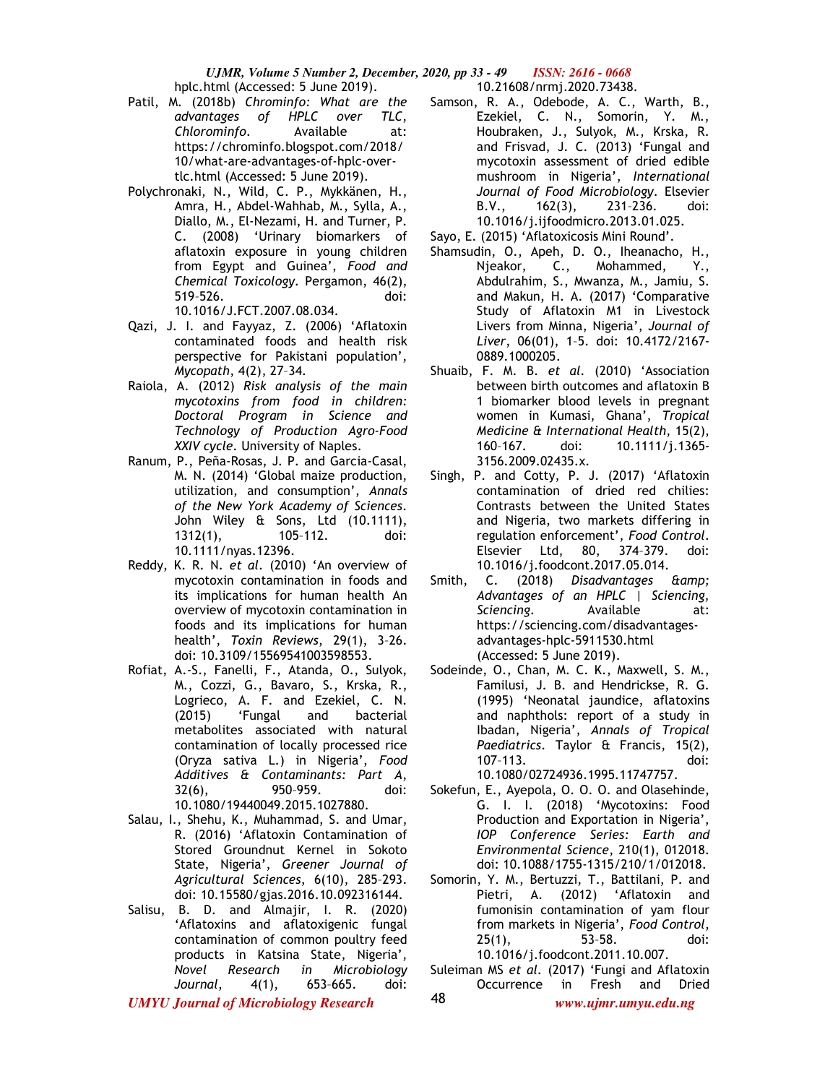*UJMR, Volume 5 Number 2, December, 2020, pp 33 - 49 ISSN: 2616 - 0668* hplc.html (Accessed: 5 June 2019). 10.21608/nrmj.2020.73438.

- Patil, M. (2018b) *Chrominfo: What are the advantages of HPLC over TLC*, *Chlorominfo*. Available at: https://chrominfo.blogspot.com/2018/ 10/what-are-advantages-of-hplc-overtlc.html (Accessed: 5 June 2019).
- Polychronaki, N., Wild, C. P., Mykkänen, H., Amra, H., Abdel-Wahhab, M., Sylla, A., Diallo, M., El-Nezami, H. and Turner, P. C. (2008) 'Urinary biomarkers of aflatoxin exposure in young children from Egypt and Guinea', *Food and Chemical Toxicology*. Pergamon, 46(2), 519–526. doi: 10.1016/J.FCT.2007.08.034.
- Qazi, J. I. and Fayyaz, Z. (2006) 'Aflatoxin contaminated foods and health risk perspective for Pakistani population', *Mycopath*, 4(2), 27–34.
- Raiola, A. (2012) *Risk analysis of the main mycotoxins from food in children: Doctoral Program in Science and Technology of Production Agro-Food XXIV cycle*. University of Naples.
- Ranum, P., Peña-Rosas, J. P. and Garcia-Casal, M. N. (2014) 'Global maize production, utilization, and consumption', *Annals of the New York Academy of Sciences*. John Wiley & Sons, Ltd (10.1111), 1312(1), 105–112. doi: 10.1111/nyas.12396.
- Reddy, K. R. N. *et al.* (2010) 'An overview of mycotoxin contamination in foods and its implications for human health An overview of mycotoxin contamination in foods and its implications for human health', *Toxin Reviews*, 29(1), 3–26. doi: 10.3109/15569541003598553.
- Rofiat, A.-S., Fanelli, F., Atanda, O., Sulyok, M., Cozzi, G., Bavaro, S., Krska, R., Logrieco, A. F. and Ezekiel, C. N. (2015) 'Fungal and bacterial metabolites associated with natural contamination of locally processed rice (Oryza sativa L.) in Nigeria', *Food Additives & Contaminants: Part A*, 32(6), 950–959. doi: 10.1080/19440049.2015.1027880.
- Salau, I., Shehu, K., Muhammad, S. and Umar, R. (2016) 'Aflatoxin Contamination of Stored Groundnut Kernel in Sokoto State, Nigeria', *Greener Journal of Agricultural Sciences*, 6(10), 285–293. doi: 10.15580/gjas.2016.10.092316144.
- Salisu, B. D. and Almajir, I. R. (2020) 'Aflatoxins and aflatoxigenic fungal contamination of common poultry feed products in Katsina State, Nigeria', *Novel Research in Microbiology Journal*, 4(1), 653–665. doi:

Samson, R. A., Odebode, A. C., Warth, B., Ezekiel, C. N., Somorin, Y. M., Houbraken, J., Sulyok, M., Krska, R. and Frisvad, J. C. (2013) 'Fungal and mycotoxin assessment of dried edible mushroom in Nigeria', *International Journal of Food Microbiology*. Elsevier B.V., 162(3), 231–236. doi: 10.1016/j.ijfoodmicro.2013.01.025.

Sayo, E. (2015) 'Aflatoxicosis Mini Round'.

- Shamsudin, O., Apeh, D. O., Iheanacho, H., Njeakor, C., Mohammed, Y., Abdulrahim, S., Mwanza, M., Jamiu, S. and Makun, H. A. (2017) 'Comparative Study of Aflatoxin M1 in Livestock Livers from Minna, Nigeria', *Journal of Liver*, 06(01), 1–5. doi: 10.4172/2167- 0889.1000205.
- Shuaib, F. M. B. *et al.* (2010) 'Association between birth outcomes and aflatoxin B 1 biomarker blood levels in pregnant women in Kumasi, Ghana', *Tropical Medicine & International Health*, 15(2), 160–167. doi: 10.1111/j.1365- 3156.2009.02435.x.
- Singh, P. and Cotty, P. J. (2017) 'Aflatoxin contamination of dried red chilies: Contrasts between the United States and Nigeria, two markets differing in regulation enforcement', *Food Control*. Elsevier Ltd, 80, 374–379. doi: 10.1016/j.foodcont.2017.05.014.
- Smith, C. (2018) *Disadvantages & amp*; *Advantages of an HPLC | Sciencing*, *Sciencing*. Available at: https://sciencing.com/disadvantagesadvantages-hplc-5911530.html (Accessed: 5 June 2019).
- Sodeinde, O., Chan, M. C. K., Maxwell, S. M., Familusi, J. B. and Hendrickse, R. G. (1995) 'Neonatal jaundice, aflatoxins and naphthols: report of a study in Ibadan, Nigeria', *Annals of Tropical Paediatrics*. Taylor & Francis, 15(2), 107–113. doi: 10.1080/02724936.1995.11747757.
- Sokefun, E., Ayepola, O. O. O. and Olasehinde, G. I. I. (2018) 'Mycotoxins: Food Production and Exportation in Nigeria', *IOP Conference Series: Earth and Environmental Science*, 210(1), 012018. doi: 10.1088/1755-1315/210/1/012018.
- Somorin, Y. M., Bertuzzi, T., Battilani, P. and Pietri, A. (2012) 'Aflatoxin and fumonisin contamination of yam flour from markets in Nigeria', *Food Control*, 25(1), 53–58. doi: 10.1016/j.foodcont.2011.10.007.
- Suleiman MS *et al.* (2017) 'Fungi and Aflatoxin Occurrence in Fresh and Dried 48